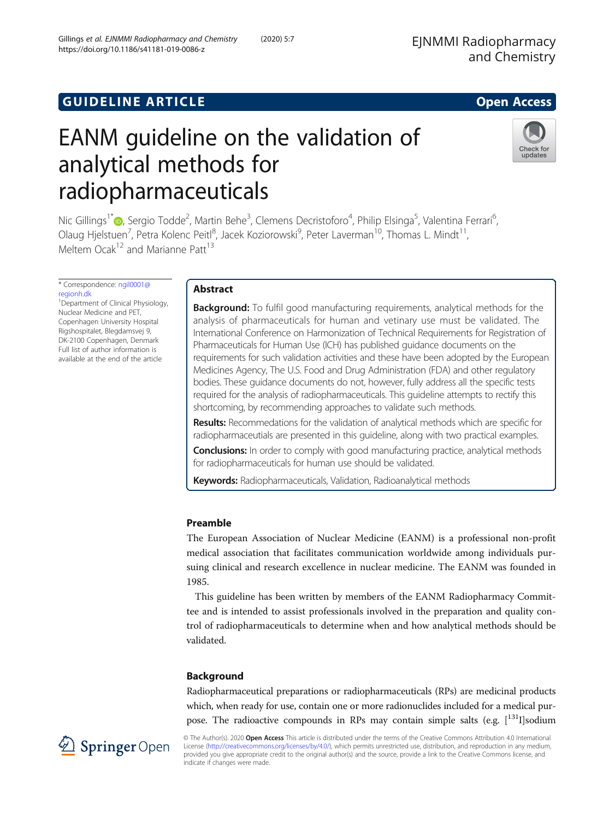https://doi.org/10.1186/s41181-019-0086-z

Gillings et al. EJNMMI Radiopharmacy and Chemistry (2020) 5:7

# EANM guideline on the validation of analytical methods for radiopharmaceuticals



Nic Gillings<sup>1[\\*](http://orcid.org/0000-0002-7669-2344)</sup>�, Sergio Todde<sup>2</sup>, Martin Behe<sup>3</sup>, Clemens Decristoforo<sup>4</sup>, Philip Elsinga<sup>5</sup>, Valentina Ferrari<sup>6</sup> , Olaug Hjelstuen<sup>7</sup>, Petra Kolenc Peitl<sup>8</sup>, Jacek Koziorowski<sup>9</sup>, Peter Laverman<sup>10</sup>, Thomas L. Mindt<sup>11</sup>, Meltem Ocak<sup>12</sup> and Marianne Patt<sup>13</sup>

\* Correspondence: [ngil0001@](mailto:ngil0001@regionh.dk) [regionh.dk](mailto:ngil0001@regionh.dk)

<sup>1</sup>Department of Clinical Physiology, Nuclear Medicine and PET, Copenhagen University Hospital Rigshospitalet, Blegdamsvej 9, DK-2100 Copenhagen, Denmark Full list of author information is available at the end of the article

# Abstract

**Background:** To fulfil good manufacturing requirements, analytical methods for the analysis of pharmaceuticals for human and vetinary use must be validated. The International Conference on Harmonization of Technical Requirements for Registration of Pharmaceuticals for Human Use (ICH) has published guidance documents on the requirements for such validation activities and these have been adopted by the European Medicines Agency, The U.S. Food and Drug Administration (FDA) and other regulatory bodies. These guidance documents do not, however, fully address all the specific tests required for the analysis of radiopharmaceuticals. This guideline attempts to rectify this shortcoming, by recommending approaches to validate such methods.

**Results:** Recommedations for the validation of analytical methods which are specific for radiopharmaceutials are presented in this guideline, along with two practical examples.

**Conclusions:** In order to comply with good manufacturing practice, analytical methods for radiopharmaceuticals for human use should be validated.

**Keywords:** Radiopharmaceuticals, Validation, Radioanalytical methods

# Preamble

The European Association of Nuclear Medicine (EANM) is a professional non-profit medical association that facilitates communication worldwide among individuals pursuing clinical and research excellence in nuclear medicine. The EANM was founded in 1985.

This guideline has been written by members of the EANM Radiopharmacy Committee and is intended to assist professionals involved in the preparation and quality control of radiopharmaceuticals to determine when and how analytical methods should be validated.

# Background

Radiopharmaceutical preparations or radiopharmaceuticals (RPs) are medicinal products which, when ready for use, contain one or more radionuclides included for a medical purpose. The radioactive compounds in RPs may contain simple salts (e.g.  $[^{131}I]$ sodium



© The Author(s). 2020 Open Access This article is distributed under the terms of the Creative Commons Attribution 4.0 International License [\(http://creativecommons.org/licenses/by/4.0/](http://creativecommons.org/licenses/by/4.0/)), which permits unrestricted use, distribution, and reproduction in any medium, provided you give appropriate credit to the original author(s) and the source, provide a link to the Creative Commons license, and indicate if changes were made.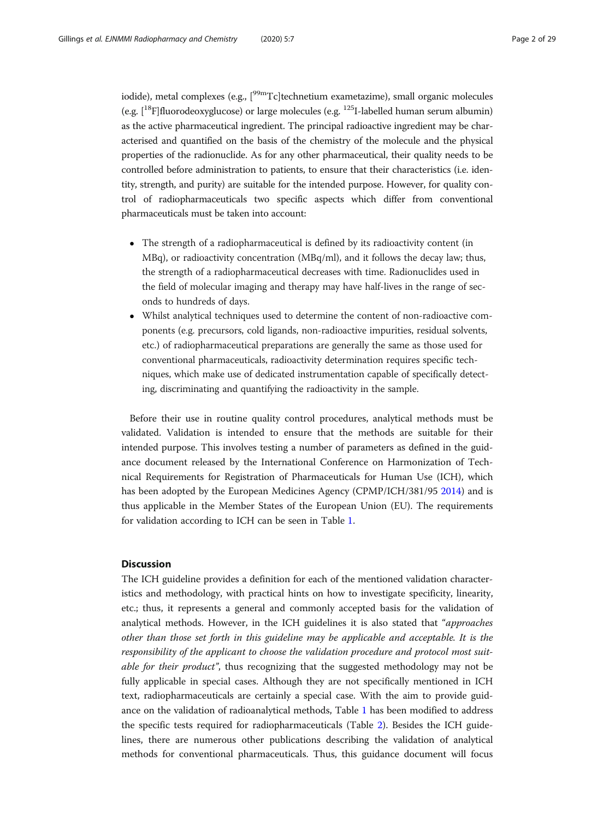iodide), metal complexes (e.g.,  $[<sup>99m</sup>Tc]$ technetium exametazime), small organic molecules (e.g.  $[18F]$ fluorodeoxyglucose) or large molecules (e.g.  $125$ I-labelled human serum albumin) as the active pharmaceutical ingredient. The principal radioactive ingredient may be characterised and quantified on the basis of the chemistry of the molecule and the physical properties of the radionuclide. As for any other pharmaceutical, their quality needs to be controlled before administration to patients, to ensure that their characteristics (i.e. identity, strength, and purity) are suitable for the intended purpose. However, for quality control of radiopharmaceuticals two specific aspects which differ from conventional pharmaceuticals must be taken into account:

- The strength of a radiopharmaceutical is defined by its radioactivity content (in MBq), or radioactivity concentration (MBq/ml), and it follows the decay law; thus, the strength of a radiopharmaceutical decreases with time. Radionuclides used in the field of molecular imaging and therapy may have half-lives in the range of seconds to hundreds of days.
- Whilst analytical techniques used to determine the content of non-radioactive components (e.g. precursors, cold ligands, non-radioactive impurities, residual solvents, etc.) of radiopharmaceutical preparations are generally the same as those used for conventional pharmaceuticals, radioactivity determination requires specific techniques, which make use of dedicated instrumentation capable of specifically detecting, discriminating and quantifying the radioactivity in the sample.

Before their use in routine quality control procedures, analytical methods must be validated. Validation is intended to ensure that the methods are suitable for their intended purpose. This involves testing a number of parameters as defined in the guidance document released by the International Conference on Harmonization of Technical Requirements for Registration of Pharmaceuticals for Human Use (ICH), which has been adopted by the European Medicines Agency (CPMP/ICH/381/95 [2014\)](#page-28-0) and is thus applicable in the Member States of the European Union (EU). The requirements for validation according to ICH can be seen in Table [1.](#page-2-0)

# **Discussion**

The ICH guideline provides a definition for each of the mentioned validation characteristics and methodology, with practical hints on how to investigate specificity, linearity, etc.; thus, it represents a general and commonly accepted basis for the validation of analytical methods. However, in the ICH guidelines it is also stated that "approaches other than those set forth in this guideline may be applicable and acceptable. It is the responsibility of the applicant to choose the validation procedure and protocol most suitable for their product", thus recognizing that the suggested methodology may not be fully applicable in special cases. Although they are not specifically mentioned in ICH text, radiopharmaceuticals are certainly a special case. With the aim to provide guidance on the validation of radioanalytical methods, Table [1](#page-2-0) has been modified to address the specific tests required for radiopharmaceuticals (Table [2\)](#page-3-0). Besides the ICH guidelines, there are numerous other publications describing the validation of analytical methods for conventional pharmaceuticals. Thus, this guidance document will focus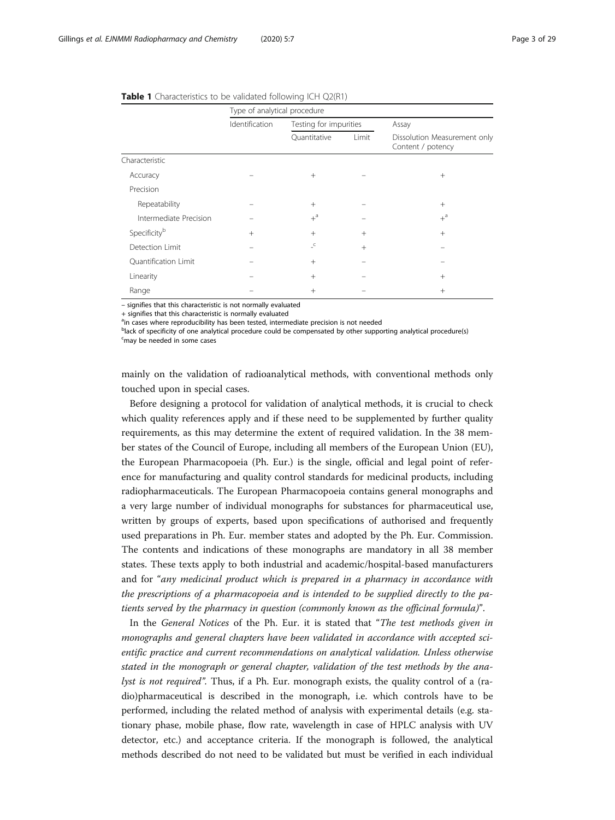|                        | Type of analytical procedure |                          |       |                                                   |  |
|------------------------|------------------------------|--------------------------|-------|---------------------------------------------------|--|
|                        | Identification               | Testing for impurities   |       | Assay                                             |  |
|                        |                              | Quantitative             | Limit | Dissolution Measurement only<br>Content / potency |  |
| Characteristic         |                              |                          |       |                                                   |  |
| Accuracy               |                              | $^{+}$                   |       | $^{+}$                                            |  |
| Precision              |                              |                          |       |                                                   |  |
| Repeatability          |                              | $+$                      |       | $+$                                               |  |
| Intermediate Precision |                              | $+$ <sup>a</sup>         |       | $+$ <sup>a</sup>                                  |  |
| Specificityb           | $+$                          | $+$                      | $+$   | $+$                                               |  |
| Detection Limit        |                              | $\lrcorner^{\mathsf{C}}$ | $+$   |                                                   |  |
| Quantification Limit   |                              | $+$                      |       |                                                   |  |
| Linearity              |                              | $+$                      |       | $+$                                               |  |
| Range                  |                              | $^{+}$                   |       | $^{+}$                                            |  |

<span id="page-2-0"></span>

|  |  |  |  | <b>Table 1</b> Characteristics to be validated following ICH Q2(R1) |  |  |  |  |  |  |  |  |  |
|--|--|--|--|---------------------------------------------------------------------|--|--|--|--|--|--|--|--|--|
|--|--|--|--|---------------------------------------------------------------------|--|--|--|--|--|--|--|--|--|

– signifies that this characteristic is not normally evaluated

+ signifies that this characteristic is normally evaluated

<sup>a</sup>in cases where reproducibility has been tested, intermediate precision is not needed

<sup>b</sup>lack of specificity of one analytical procedure could be compensated by other supporting analytical procedure(s)

<sup>c</sup>may be needed in some cases

mainly on the validation of radioanalytical methods, with conventional methods only touched upon in special cases.

Before designing a protocol for validation of analytical methods, it is crucial to check which quality references apply and if these need to be supplemented by further quality requirements, as this may determine the extent of required validation. In the 38 member states of the Council of Europe, including all members of the European Union (EU), the European Pharmacopoeia (Ph. Eur.) is the single, official and legal point of reference for manufacturing and quality control standards for medicinal products, including radiopharmaceuticals. The European Pharmacopoeia contains general monographs and a very large number of individual monographs for substances for pharmaceutical use, written by groups of experts, based upon specifications of authorised and frequently used preparations in Ph. Eur. member states and adopted by the Ph. Eur. Commission. The contents and indications of these monographs are mandatory in all 38 member states. These texts apply to both industrial and academic/hospital-based manufacturers and for "any medicinal product which is prepared in a pharmacy in accordance with the prescriptions of a pharmacopoeia and is intended to be supplied directly to the patients served by the pharmacy in question (commonly known as the officinal formula)".

In the General Notices of the Ph. Eur. it is stated that "The test methods given in monographs and general chapters have been validated in accordance with accepted scientific practice and current recommendations on analytical validation. Unless otherwise stated in the monograph or general chapter, validation of the test methods by the analyst is not required". Thus, if a Ph. Eur. monograph exists, the quality control of a (radio)pharmaceutical is described in the monograph, i.e. which controls have to be performed, including the related method of analysis with experimental details (e.g. stationary phase, mobile phase, flow rate, wavelength in case of HPLC analysis with UV detector, etc.) and acceptance criteria. If the monograph is followed, the analytical methods described do not need to be validated but must be verified in each individual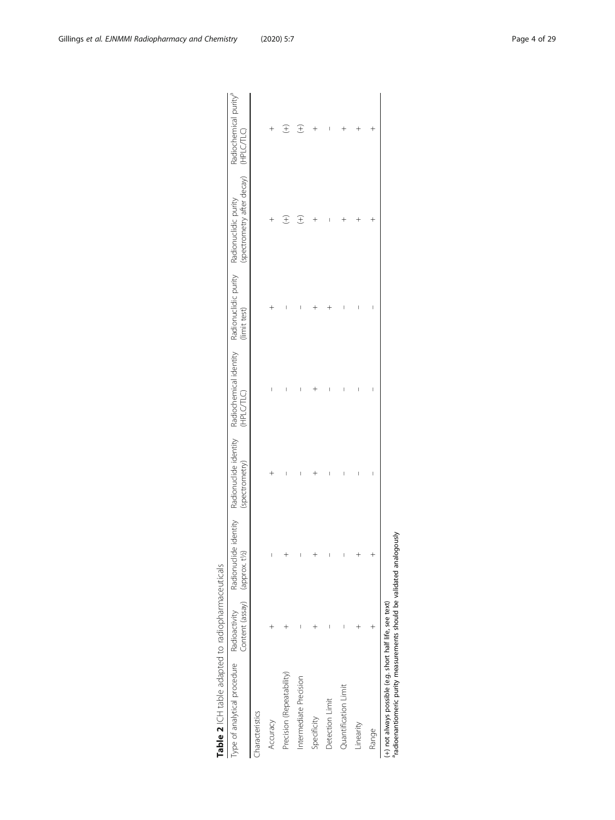<span id="page-3-0"></span>

| Table 2 ICH table adapted to radiopharmaceuticals                                                                                |                               |                          |                |                                                                                                                            |              |                                       |                                   |
|----------------------------------------------------------------------------------------------------------------------------------|-------------------------------|--------------------------|----------------|----------------------------------------------------------------------------------------------------------------------------|--------------|---------------------------------------|-----------------------------------|
| Type of analytical procedure Radioactivity                                                                                       | Content (assay) (approx. t/2) |                          | (spectrometry) | Radionuclide identity Radionuclide identity Radiochemical identity Radionuclidic purity Radionuclidic purity<br>(HPLC/TLC) | (limit test) | (spectrometry after decay) (HPLC/TLC) | Radiochemical purity <sup>ª</sup> |
| Characteristics                                                                                                                  |                               |                          |                |                                                                                                                            |              |                                       |                                   |
| Accuracy                                                                                                                         |                               | $\mathsf{I}$             |                | I                                                                                                                          |              |                                       |                                   |
| Precision (Repeatability)                                                                                                        |                               |                          | Ī              | Ī                                                                                                                          |              | Œ                                     | Æ                                 |
| Intermediate Precision                                                                                                           |                               | $\overline{\phantom{a}}$ |                | I                                                                                                                          |              | E                                     | E                                 |
| Specificity                                                                                                                      |                               |                          |                |                                                                                                                            |              |                                       |                                   |
| Detection Limit                                                                                                                  |                               | $\mathsf{I}$             | Ī              | I                                                                                                                          |              |                                       | I                                 |
| Quantification Limit                                                                                                             |                               | $\mathsf{I}$             | I              | $\overline{\phantom{a}}$                                                                                                   | I            |                                       |                                   |
| Linearity                                                                                                                        |                               | $^{+}$                   | Ī              | I                                                                                                                          | I            | ┽                                     | $^+$                              |
| Range                                                                                                                            |                               |                          | I              | I                                                                                                                          | I            | ╇                                     | $\hspace{0.1mm} +\hspace{0.1mm}$  |
| adioenantiomeric purity measurements should be validated analogously<br>(+) not always possible (e.g. short half life, see text) |                               |                          |                |                                                                                                                            |              |                                       |                                   |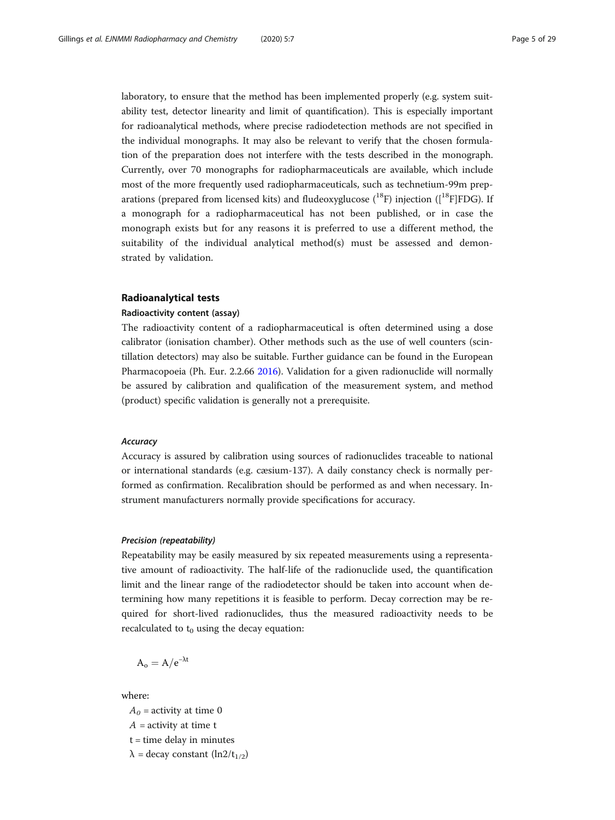laboratory, to ensure that the method has been implemented properly (e.g. system suitability test, detector linearity and limit of quantification). This is especially important for radioanalytical methods, where precise radiodetection methods are not specified in the individual monographs. It may also be relevant to verify that the chosen formulation of the preparation does not interfere with the tests described in the monograph. Currently, over 70 monographs for radiopharmaceuticals are available, which include most of the more frequently used radiopharmaceuticals, such as technetium-99m preparations (prepared from licensed kits) and fludeoxyglucose  $(^{18}F)$  injection ( $[^{18}F]FDG$ ). If a monograph for a radiopharmaceutical has not been published, or in case the monograph exists but for any reasons it is preferred to use a different method, the suitability of the individual analytical method(s) must be assessed and demonstrated by validation.

# Radioanalytical tests

# Radioactivity content (assay)

The radioactivity content of a radiopharmaceutical is often determined using a dose calibrator (ionisation chamber). Other methods such as the use of well counters (scintillation detectors) may also be suitable. Further guidance can be found in the European Pharmacopoeia (Ph. Eur. 2.2.66 [2016](#page-28-0)). Validation for a given radionuclide will normally be assured by calibration and qualification of the measurement system, and method (product) specific validation is generally not a prerequisite.

# **Accuracy**

Accuracy is assured by calibration using sources of radionuclides traceable to national or international standards (e.g. cæsium-137). A daily constancy check is normally performed as confirmation. Recalibration should be performed as and when necessary. Instrument manufacturers normally provide specifications for accuracy.

#### Precision (repeatability)

Repeatability may be easily measured by six repeated measurements using a representative amount of radioactivity. The half-life of the radionuclide used, the quantification limit and the linear range of the radiodetector should be taken into account when determining how many repetitions it is feasible to perform. Decay correction may be required for short-lived radionuclides, thus the measured radioactivity needs to be recalculated to  $t_0$  using the decay equation:

$$
A_o = A/e^{-\lambda t}
$$

where:

 $A_0$  = activity at time 0  $A$  = activity at time t

- $t =$  time delay in minutes
- $\lambda$  = decay constant (ln2/t<sub>1/2</sub>)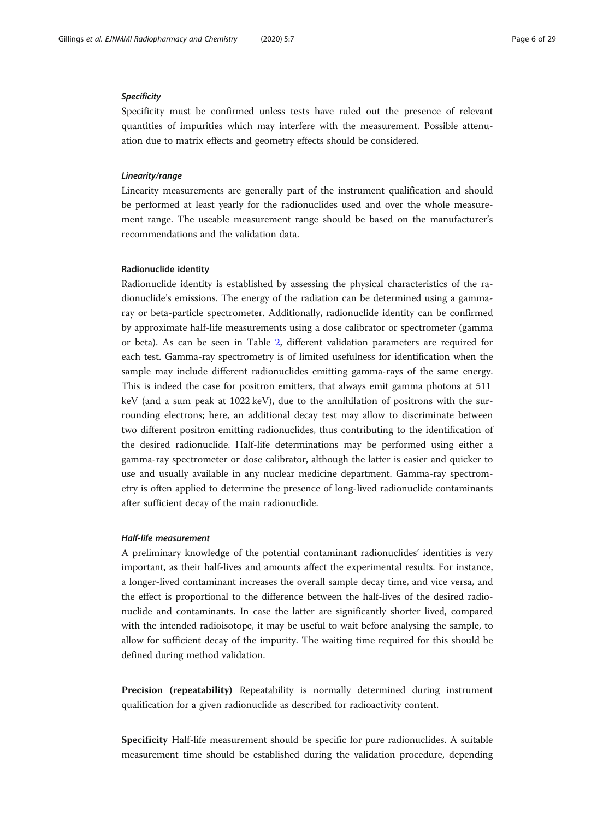#### Specificity

Specificity must be confirmed unless tests have ruled out the presence of relevant quantities of impurities which may interfere with the measurement. Possible attenuation due to matrix effects and geometry effects should be considered.

#### Linearity/range

Linearity measurements are generally part of the instrument qualification and should be performed at least yearly for the radionuclides used and over the whole measurement range. The useable measurement range should be based on the manufacturer's recommendations and the validation data.

#### Radionuclide identity

Radionuclide identity is established by assessing the physical characteristics of the radionuclide's emissions. The energy of the radiation can be determined using a gammaray or beta-particle spectrometer. Additionally, radionuclide identity can be confirmed by approximate half-life measurements using a dose calibrator or spectrometer (gamma or beta). As can be seen in Table [2](#page-3-0), different validation parameters are required for each test. Gamma-ray spectrometry is of limited usefulness for identification when the sample may include different radionuclides emitting gamma-rays of the same energy. This is indeed the case for positron emitters, that always emit gamma photons at 511 keV (and a sum peak at 1022 keV), due to the annihilation of positrons with the surrounding electrons; here, an additional decay test may allow to discriminate between two different positron emitting radionuclides, thus contributing to the identification of the desired radionuclide. Half-life determinations may be performed using either a gamma-ray spectrometer or dose calibrator, although the latter is easier and quicker to use and usually available in any nuclear medicine department. Gamma-ray spectrometry is often applied to determine the presence of long-lived radionuclide contaminants after sufficient decay of the main radionuclide.

#### Half-life measurement

A preliminary knowledge of the potential contaminant radionuclides' identities is very important, as their half-lives and amounts affect the experimental results. For instance, a longer-lived contaminant increases the overall sample decay time, and vice versa, and the effect is proportional to the difference between the half-lives of the desired radionuclide and contaminants. In case the latter are significantly shorter lived, compared with the intended radioisotope, it may be useful to wait before analysing the sample, to allow for sufficient decay of the impurity. The waiting time required for this should be defined during method validation.

**Precision (repeatability)** Repeatability is normally determined during instrument qualification for a given radionuclide as described for radioactivity content.

Specificity Half-life measurement should be specific for pure radionuclides. A suitable measurement time should be established during the validation procedure, depending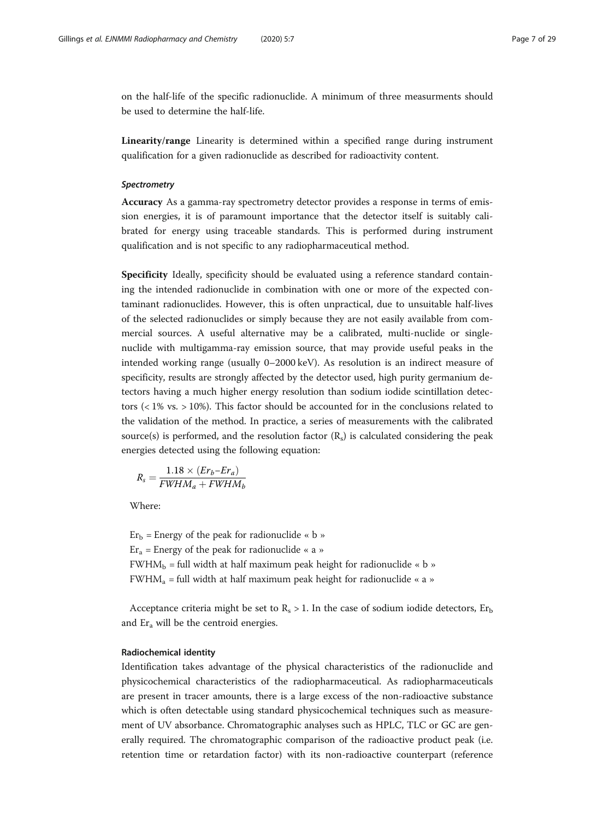on the half-life of the specific radionuclide. A minimum of three measurments should be used to determine the half-life.

Linearity/range Linearity is determined within a specified range during instrument qualification for a given radionuclide as described for radioactivity content.

# **Spectrometry**

Accuracy As a gamma-ray spectrometry detector provides a response in terms of emission energies, it is of paramount importance that the detector itself is suitably calibrated for energy using traceable standards. This is performed during instrument qualification and is not specific to any radiopharmaceutical method.

Specificity Ideally, specificity should be evaluated using a reference standard containing the intended radionuclide in combination with one or more of the expected contaminant radionuclides. However, this is often unpractical, due to unsuitable half-lives of the selected radionuclides or simply because they are not easily available from commercial sources. A useful alternative may be a calibrated, multi-nuclide or singlenuclide with multigamma-ray emission source, that may provide useful peaks in the intended working range (usually 0–2000 keV). As resolution is an indirect measure of specificity, results are strongly affected by the detector used, high purity germanium detectors having a much higher energy resolution than sodium iodide scintillation detectors  $\left($  < 1% vs. > 10%). This factor should be accounted for in the conclusions related to the validation of the method. In practice, a series of measurements with the calibrated source(s) is performed, and the resolution factor  $(R_s)$  is calculated considering the peak energies detected using the following equation:

$$
R_s = \frac{1.18 \times (Er_b - Er_a)}{FWHM_a + FWHM_b}
$$

Where:

 $Er_b$  = Energy of the peak for radionuclide « b »  $Er_a$  = Energy of the peak for radionuclide « a » FWHM<sub>b</sub> = full width at half maximum peak height for radionuclide «  $b \rightarrow$ FWHM<sub>a</sub> = full width at half maximum peak height for radionuclide « a »

Acceptance criteria might be set to  $R_s > 1$ . In the case of sodium iodide detectors,  $Er_b$ and  $Er_a$  will be the centroid energies.

# Radiochemical identity

Identification takes advantage of the physical characteristics of the radionuclide and physicochemical characteristics of the radiopharmaceutical. As radiopharmaceuticals are present in tracer amounts, there is a large excess of the non-radioactive substance which is often detectable using standard physicochemical techniques such as measurement of UV absorbance. Chromatographic analyses such as HPLC, TLC or GC are generally required. The chromatographic comparison of the radioactive product peak (i.e. retention time or retardation factor) with its non-radioactive counterpart (reference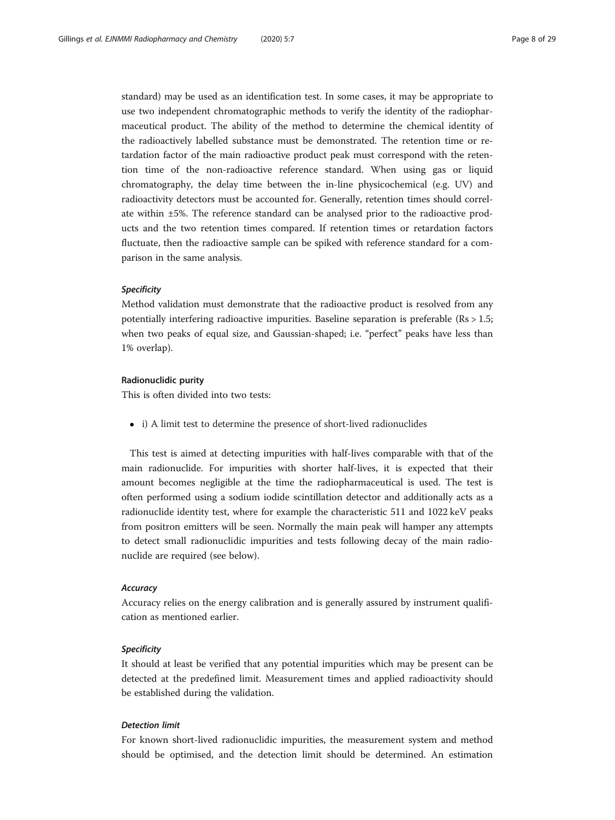standard) may be used as an identification test. In some cases, it may be appropriate to use two independent chromatographic methods to verify the identity of the radiopharmaceutical product. The ability of the method to determine the chemical identity of the radioactively labelled substance must be demonstrated. The retention time or retardation factor of the main radioactive product peak must correspond with the retention time of the non-radioactive reference standard. When using gas or liquid chromatography, the delay time between the in-line physicochemical (e.g. UV) and radioactivity detectors must be accounted for. Generally, retention times should correlate within ±5%. The reference standard can be analysed prior to the radioactive products and the two retention times compared. If retention times or retardation factors fluctuate, then the radioactive sample can be spiked with reference standard for a comparison in the same analysis.

# **Specificity**

Method validation must demonstrate that the radioactive product is resolved from any potentially interfering radioactive impurities. Baseline separation is preferable (Rs > 1.5; when two peaks of equal size, and Gaussian-shaped; i.e. "perfect" peaks have less than 1% overlap).

# Radionuclidic purity

This is often divided into two tests:

i) A limit test to determine the presence of short-lived radionuclides

This test is aimed at detecting impurities with half-lives comparable with that of the main radionuclide. For impurities with shorter half-lives, it is expected that their amount becomes negligible at the time the radiopharmaceutical is used. The test is often performed using a sodium iodide scintillation detector and additionally acts as a radionuclide identity test, where for example the characteristic 511 and 1022 keV peaks from positron emitters will be seen. Normally the main peak will hamper any attempts to detect small radionuclidic impurities and tests following decay of the main radionuclide are required (see below).

# **Accuracy**

Accuracy relies on the energy calibration and is generally assured by instrument qualification as mentioned earlier.

# **Specificity**

It should at least be verified that any potential impurities which may be present can be detected at the predefined limit. Measurement times and applied radioactivity should be established during the validation.

# Detection limit

For known short-lived radionuclidic impurities, the measurement system and method should be optimised, and the detection limit should be determined. An estimation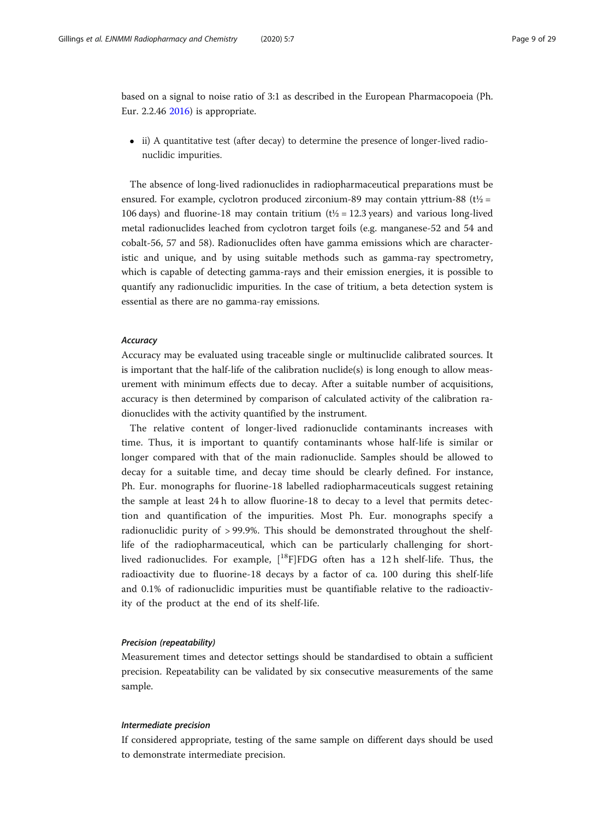based on a signal to noise ratio of 3:1 as described in the European Pharmacopoeia (Ph. Eur. 2.2.46 [2016\)](#page-28-0) is appropriate.

• ii) A quantitative test (after decay) to determine the presence of longer-lived radionuclidic impurities.

The absence of long-lived radionuclides in radiopharmaceutical preparations must be ensured. For example, cyclotron produced zirconium-89 may contain yttrium-88 ( $t\frac{1}{2}$  = 106 days) and fluorine-18 may contain tritium  $(t\frac{1}{2} = 12.3$  years) and various long-lived metal radionuclides leached from cyclotron target foils (e.g. manganese-52 and 54 and cobalt-56, 57 and 58). Radionuclides often have gamma emissions which are characteristic and unique, and by using suitable methods such as gamma-ray spectrometry, which is capable of detecting gamma-rays and their emission energies, it is possible to quantify any radionuclidic impurities. In the case of tritium, a beta detection system is essential as there are no gamma-ray emissions.

# **Accuracy**

Accuracy may be evaluated using traceable single or multinuclide calibrated sources. It is important that the half-life of the calibration nuclide(s) is long enough to allow measurement with minimum effects due to decay. After a suitable number of acquisitions, accuracy is then determined by comparison of calculated activity of the calibration radionuclides with the activity quantified by the instrument.

The relative content of longer-lived radionuclide contaminants increases with time. Thus, it is important to quantify contaminants whose half-life is similar or longer compared with that of the main radionuclide. Samples should be allowed to decay for a suitable time, and decay time should be clearly defined. For instance, Ph. Eur. monographs for fluorine-18 labelled radiopharmaceuticals suggest retaining the sample at least 24 h to allow fluorine-18 to decay to a level that permits detection and quantification of the impurities. Most Ph. Eur. monographs specify a radionuclidic purity of > 99.9%. This should be demonstrated throughout the shelflife of the radiopharmaceutical, which can be particularly challenging for shortlived radionuclides. For example,  $[{}^{18}F]FDG$  often has a 12 h shelf-life. Thus, the radioactivity due to fluorine-18 decays by a factor of ca. 100 during this shelf-life and 0.1% of radionuclidic impurities must be quantifiable relative to the radioactivity of the product at the end of its shelf-life.

# Precision (repeatability)

Measurement times and detector settings should be standardised to obtain a sufficient precision. Repeatability can be validated by six consecutive measurements of the same sample.

# Intermediate precision

If considered appropriate, testing of the same sample on different days should be used to demonstrate intermediate precision.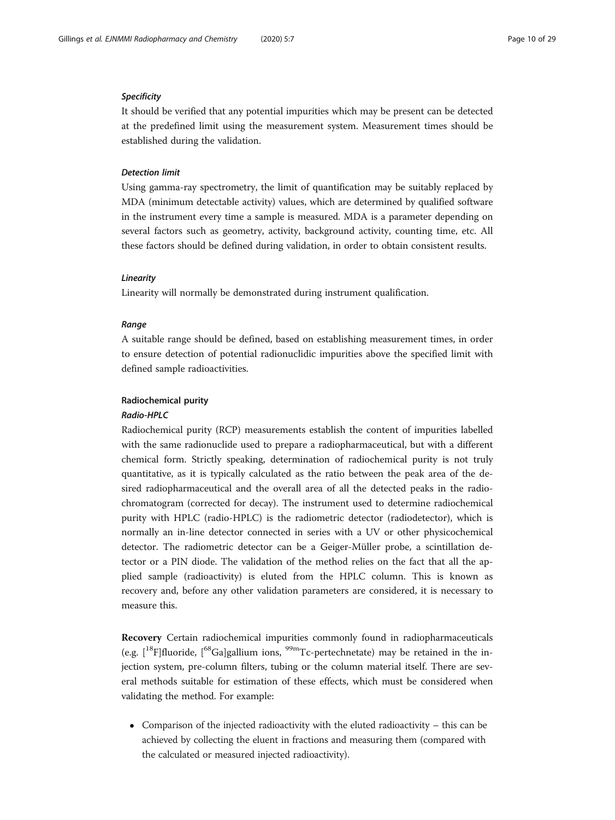#### **Specificity**

It should be verified that any potential impurities which may be present can be detected at the predefined limit using the measurement system. Measurement times should be established during the validation.

# Detection limit

Using gamma-ray spectrometry, the limit of quantification may be suitably replaced by MDA (minimum detectable activity) values, which are determined by qualified software in the instrument every time a sample is measured. MDA is a parameter depending on several factors such as geometry, activity, background activity, counting time, etc. All these factors should be defined during validation, in order to obtain consistent results.

# Linearity

Linearity will normally be demonstrated during instrument qualification.

# Range

A suitable range should be defined, based on establishing measurement times, in order to ensure detection of potential radionuclidic impurities above the specified limit with defined sample radioactivities.

# Radiochemical purity

# Radio-HPLC

Radiochemical purity (RCP) measurements establish the content of impurities labelled with the same radionuclide used to prepare a radiopharmaceutical, but with a different chemical form. Strictly speaking, determination of radiochemical purity is not truly quantitative, as it is typically calculated as the ratio between the peak area of the desired radiopharmaceutical and the overall area of all the detected peaks in the radiochromatogram (corrected for decay). The instrument used to determine radiochemical purity with HPLC (radio-HPLC) is the radiometric detector (radiodetector), which is normally an in-line detector connected in series with a UV or other physicochemical detector. The radiometric detector can be a Geiger-Müller probe, a scintillation detector or a PIN diode. The validation of the method relies on the fact that all the applied sample (radioactivity) is eluted from the HPLC column. This is known as recovery and, before any other validation parameters are considered, it is necessary to measure this.

Recovery Certain radiochemical impurities commonly found in radiopharmaceuticals (e.g.  $[18F]$ fluoride,  $[68Ga]$ gallium ions,  $99m$ Tc-pertechnetate) may be retained in the injection system, pre-column filters, tubing or the column material itself. There are several methods suitable for estimation of these effects, which must be considered when validating the method. For example:

 Comparison of the injected radioactivity with the eluted radioactivity – this can be achieved by collecting the eluent in fractions and measuring them (compared with the calculated or measured injected radioactivity).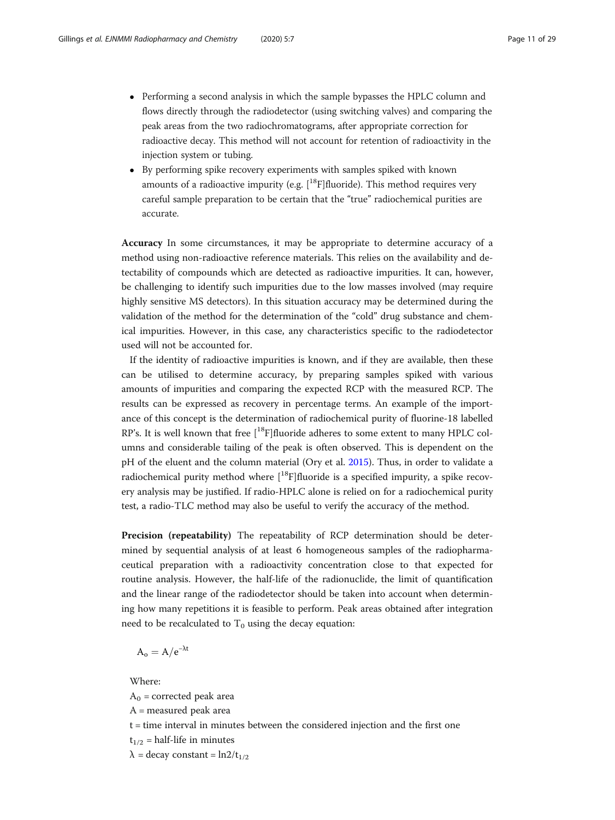- Performing a second analysis in which the sample bypasses the HPLC column and flows directly through the radiodetector (using switching valves) and comparing the peak areas from the two radiochromatograms, after appropriate correction for radioactive decay. This method will not account for retention of radioactivity in the injection system or tubing.
- By performing spike recovery experiments with samples spiked with known amounts of a radioactive impurity (e.g.  $[18F]$ fluoride). This method requires very careful sample preparation to be certain that the "true" radiochemical purities are accurate.

Accuracy In some circumstances, it may be appropriate to determine accuracy of a method using non-radioactive reference materials. This relies on the availability and detectability of compounds which are detected as radioactive impurities. It can, however, be challenging to identify such impurities due to the low masses involved (may require highly sensitive MS detectors). In this situation accuracy may be determined during the validation of the method for the determination of the "cold" drug substance and chemical impurities. However, in this case, any characteristics specific to the radiodetector used will not be accounted for.

If the identity of radioactive impurities is known, and if they are available, then these can be utilised to determine accuracy, by preparing samples spiked with various amounts of impurities and comparing the expected RCP with the measured RCP. The results can be expressed as recovery in percentage terms. An example of the importance of this concept is the determination of radiochemical purity of fluorine-18 labelled RP's. It is well known that free  $[{}^{18}F]$ fluoride adheres to some extent to many HPLC columns and considerable tailing of the peak is often observed. This is dependent on the pH of the eluent and the column material (Ory et al. [2015](#page-28-0)). Thus, in order to validate a radiochemical purity method where  $[{}^{18}F]$ fluoride is a specified impurity, a spike recovery analysis may be justified. If radio-HPLC alone is relied on for a radiochemical purity test, a radio-TLC method may also be useful to verify the accuracy of the method.

Precision (repeatability) The repeatability of RCP determination should be determined by sequential analysis of at least 6 homogeneous samples of the radiopharmaceutical preparation with a radioactivity concentration close to that expected for routine analysis. However, the half-life of the radionuclide, the limit of quantification and the linear range of the radiodetector should be taken into account when determining how many repetitions it is feasible to perform. Peak areas obtained after integration need to be recalculated to  $T_0$  using the decay equation:

 $A_0 = A/e^{-\lambda t}$ 

Where:

 $A_0$  = corrected peak area

A = measured peak area

t = time interval in minutes between the considered injection and the first one

 $t_{1/2}$  = half-life in minutes

 $\lambda$  = decay constant = ln2/t<sub>1/2</sub>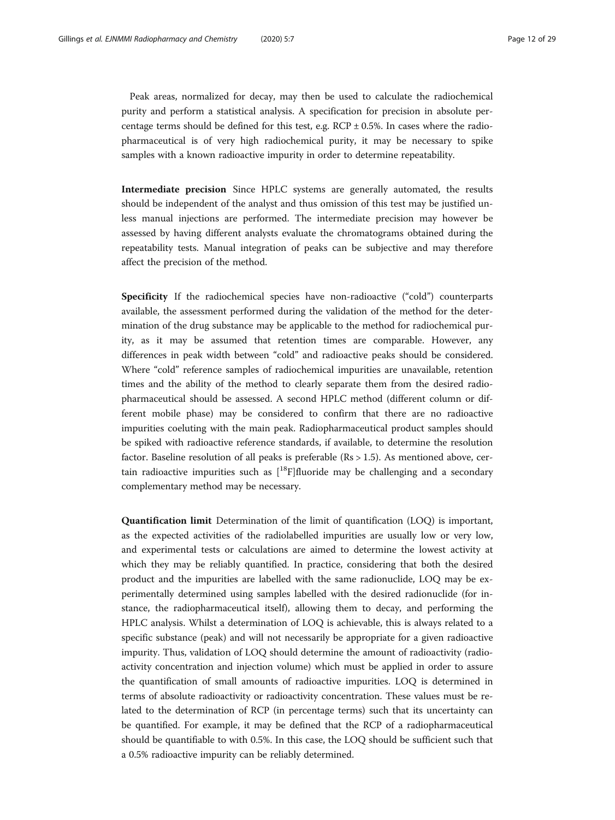Peak areas, normalized for decay, may then be used to calculate the radiochemical purity and perform a statistical analysis. A specification for precision in absolute percentage terms should be defined for this test, e.g.  $RCP \pm 0.5$ %. In cases where the radiopharmaceutical is of very high radiochemical purity, it may be necessary to spike samples with a known radioactive impurity in order to determine repeatability.

Intermediate precision Since HPLC systems are generally automated, the results should be independent of the analyst and thus omission of this test may be justified unless manual injections are performed. The intermediate precision may however be assessed by having different analysts evaluate the chromatograms obtained during the repeatability tests. Manual integration of peaks can be subjective and may therefore affect the precision of the method.

Specificity If the radiochemical species have non-radioactive ("cold") counterparts available, the assessment performed during the validation of the method for the determination of the drug substance may be applicable to the method for radiochemical purity, as it may be assumed that retention times are comparable. However, any differences in peak width between "cold" and radioactive peaks should be considered. Where "cold" reference samples of radiochemical impurities are unavailable, retention times and the ability of the method to clearly separate them from the desired radiopharmaceutical should be assessed. A second HPLC method (different column or different mobile phase) may be considered to confirm that there are no radioactive impurities coeluting with the main peak. Radiopharmaceutical product samples should be spiked with radioactive reference standards, if available, to determine the resolution factor. Baseline resolution of all peaks is preferable (Rs > 1.5). As mentioned above, certain radioactive impurities such as  $[18F]$ fluoride may be challenging and a secondary complementary method may be necessary.

Quantification limit Determination of the limit of quantification (LOQ) is important, as the expected activities of the radiolabelled impurities are usually low or very low, and experimental tests or calculations are aimed to determine the lowest activity at which they may be reliably quantified. In practice, considering that both the desired product and the impurities are labelled with the same radionuclide, LOQ may be experimentally determined using samples labelled with the desired radionuclide (for instance, the radiopharmaceutical itself), allowing them to decay, and performing the HPLC analysis. Whilst a determination of LOQ is achievable, this is always related to a specific substance (peak) and will not necessarily be appropriate for a given radioactive impurity. Thus, validation of LOQ should determine the amount of radioactivity (radioactivity concentration and injection volume) which must be applied in order to assure the quantification of small amounts of radioactive impurities. LOQ is determined in terms of absolute radioactivity or radioactivity concentration. These values must be related to the determination of RCP (in percentage terms) such that its uncertainty can be quantified. For example, it may be defined that the RCP of a radiopharmaceutical should be quantifiable to with 0.5%. In this case, the LOQ should be sufficient such that a 0.5% radioactive impurity can be reliably determined.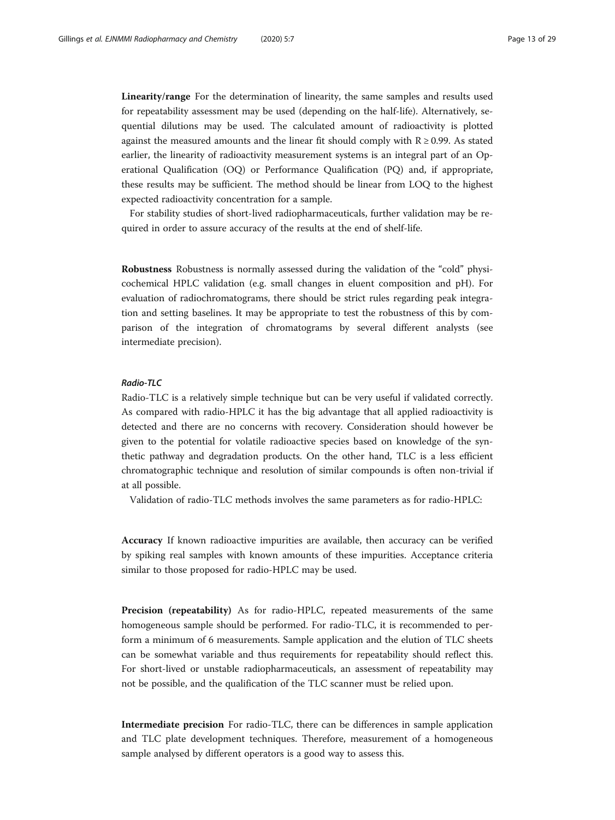Linearity/range For the determination of linearity, the same samples and results used for repeatability assessment may be used (depending on the half-life). Alternatively, sequential dilutions may be used. The calculated amount of radioactivity is plotted against the measured amounts and the linear fit should comply with  $R \ge 0.99$ . As stated earlier, the linearity of radioactivity measurement systems is an integral part of an Operational Qualification (OQ) or Performance Qualification (PQ) and, if appropriate, these results may be sufficient. The method should be linear from LOQ to the highest expected radioactivity concentration for a sample.

For stability studies of short-lived radiopharmaceuticals, further validation may be required in order to assure accuracy of the results at the end of shelf-life.

Robustness Robustness is normally assessed during the validation of the "cold" physicochemical HPLC validation (e.g. small changes in eluent composition and pH). For evaluation of radiochromatograms, there should be strict rules regarding peak integration and setting baselines. It may be appropriate to test the robustness of this by comparison of the integration of chromatograms by several different analysts (see intermediate precision).

# Radio-TLC

Radio-TLC is a relatively simple technique but can be very useful if validated correctly. As compared with radio-HPLC it has the big advantage that all applied radioactivity is detected and there are no concerns with recovery. Consideration should however be given to the potential for volatile radioactive species based on knowledge of the synthetic pathway and degradation products. On the other hand, TLC is a less efficient chromatographic technique and resolution of similar compounds is often non-trivial if at all possible.

Validation of radio-TLC methods involves the same parameters as for radio-HPLC:

Accuracy If known radioactive impurities are available, then accuracy can be verified by spiking real samples with known amounts of these impurities. Acceptance criteria similar to those proposed for radio-HPLC may be used.

Precision (repeatability) As for radio-HPLC, repeated measurements of the same homogeneous sample should be performed. For radio-TLC, it is recommended to perform a minimum of 6 measurements. Sample application and the elution of TLC sheets can be somewhat variable and thus requirements for repeatability should reflect this. For short-lived or unstable radiopharmaceuticals, an assessment of repeatability may not be possible, and the qualification of the TLC scanner must be relied upon.

Intermediate precision For radio-TLC, there can be differences in sample application and TLC plate development techniques. Therefore, measurement of a homogeneous sample analysed by different operators is a good way to assess this.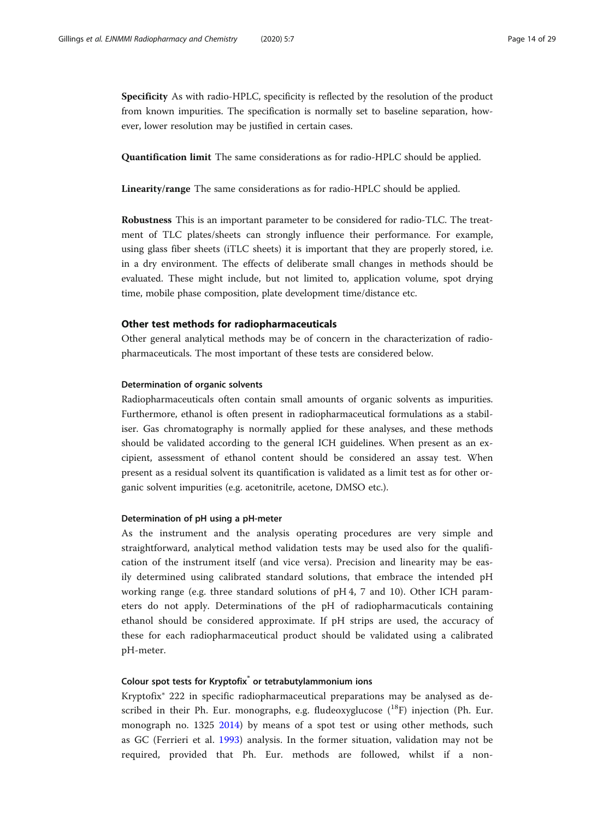Specificity As with radio-HPLC, specificity is reflected by the resolution of the product from known impurities. The specification is normally set to baseline separation, however, lower resolution may be justified in certain cases.

Quantification limit The same considerations as for radio-HPLC should be applied.

Linearity/range The same considerations as for radio-HPLC should be applied.

Robustness This is an important parameter to be considered for radio-TLC. The treatment of TLC plates/sheets can strongly influence their performance. For example, using glass fiber sheets (iTLC sheets) it is important that they are properly stored, i.e. in a dry environment. The effects of deliberate small changes in methods should be evaluated. These might include, but not limited to, application volume, spot drying time, mobile phase composition, plate development time/distance etc.

# Other test methods for radiopharmaceuticals

Other general analytical methods may be of concern in the characterization of radiopharmaceuticals. The most important of these tests are considered below.

# Determination of organic solvents

Radiopharmaceuticals often contain small amounts of organic solvents as impurities. Furthermore, ethanol is often present in radiopharmaceutical formulations as a stabiliser. Gas chromatography is normally applied for these analyses, and these methods should be validated according to the general ICH guidelines. When present as an excipient, assessment of ethanol content should be considered an assay test. When present as a residual solvent its quantification is validated as a limit test as for other organic solvent impurities (e.g. acetonitrile, acetone, DMSO etc.).

#### Determination of pH using a pH-meter

As the instrument and the analysis operating procedures are very simple and straightforward, analytical method validation tests may be used also for the qualification of the instrument itself (and vice versa). Precision and linearity may be easily determined using calibrated standard solutions, that embrace the intended pH working range (e.g. three standard solutions of pH 4, 7 and 10). Other ICH parameters do not apply. Determinations of the pH of radiopharmacuticals containing ethanol should be considered approximate. If pH strips are used, the accuracy of these for each radiopharmaceutical product should be validated using a calibrated pH-meter.

# Colour spot tests for Kryptofix<sup>®</sup> or tetrabutylammonium ions

Kryptofix® 222 in specific radiopharmaceutical preparations may be analysed as described in their Ph. Eur. monographs, e.g. fludeoxyglucose  $(^{18}F)$  injection (Ph. Eur. monograph no. 1325 [2014](#page-28-0)) by means of a spot test or using other methods, such as GC (Ferrieri et al. [1993](#page-28-0)) analysis. In the former situation, validation may not be required, provided that Ph. Eur. methods are followed, whilst if a non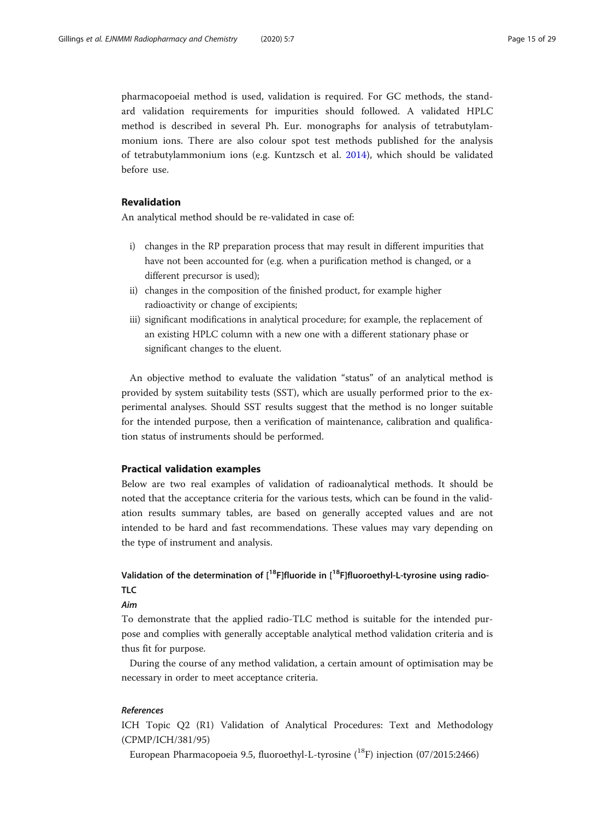pharmacopoeial method is used, validation is required. For GC methods, the standard validation requirements for impurities should followed. A validated HPLC method is described in several Ph. Eur. monographs for analysis of tetrabutylammonium ions. There are also colour spot test methods published for the analysis of tetrabutylammonium ions (e.g. Kuntzsch et al. [2014](#page-28-0)), which should be validated before use.

# Revalidation

An analytical method should be re-validated in case of:

- i) changes in the RP preparation process that may result in different impurities that have not been accounted for (e.g. when a purification method is changed, or a different precursor is used);
- ii) changes in the composition of the finished product, for example higher radioactivity or change of excipients;
- iii) significant modifications in analytical procedure; for example, the replacement of an existing HPLC column with a new one with a different stationary phase or significant changes to the eluent.

An objective method to evaluate the validation "status" of an analytical method is provided by system suitability tests (SST), which are usually performed prior to the experimental analyses. Should SST results suggest that the method is no longer suitable for the intended purpose, then a verification of maintenance, calibration and qualification status of instruments should be performed.

# Practical validation examples

Below are two real examples of validation of radioanalytical methods. It should be noted that the acceptance criteria for the various tests, which can be found in the validation results summary tables, are based on generally accepted values and are not intended to be hard and fast recommendations. These values may vary depending on the type of instrument and analysis.

# Validation of the determination of  $[18F]$ fluoride in  $[18F]$ fluoroethyl-L-tyrosine using radio-TLC

Aim

To demonstrate that the applied radio-TLC method is suitable for the intended purpose and complies with generally acceptable analytical method validation criteria and is thus fit for purpose.

During the course of any method validation, a certain amount of optimisation may be necessary in order to meet acceptance criteria.

## References

ICH Topic Q2 (R1) Validation of Analytical Procedures: Text and Methodology (CPMP/ICH/381/95)

European Pharmacopoeia 9.5, fluoroethyl-L-tyrosine  $(^{18}F)$  injection (07/2015:2466)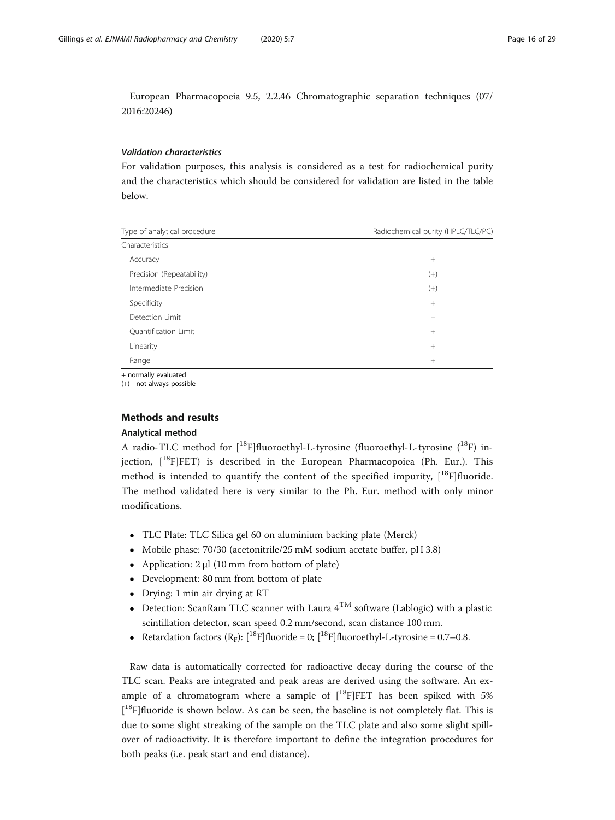European Pharmacopoeia 9.5, 2.2.46 Chromatographic separation techniques (07/ 2016:20246)

# Validation characteristics

For validation purposes, this analysis is considered as a test for radiochemical purity and the characteristics which should be considered for validation are listed in the table below.

| Type of analytical procedure | Radiochemical purity (HPLC/TLC/PC) |
|------------------------------|------------------------------------|
| Characteristics              |                                    |
| Accuracy                     | $+$                                |
| Precision (Repeatability)    | $^{(+)}$                           |
| Intermediate Precision       | $(+)$                              |
| Specificity                  | $+$                                |
| Detection Limit              |                                    |
| <b>Ouantification Limit</b>  | $+$                                |
| Linearity                    | $^{+}$                             |
| Range                        | $+$                                |

+ normally evaluated

(+) - not always possible

# Methods and results

# Analytical method

A radio-TLC method for  $[{}^{18}F]$ fluoroethyl-L-tyrosine (fluoroethyl-L-tyrosine  $({}^{18}F)$  injection,  $[18F]FET$ ) is described in the European Pharmacopoiea (Ph. Eur.). This method is intended to quantify the content of the specified impurity,  $[18F]$ fluoride. The method validated here is very similar to the Ph. Eur. method with only minor modifications.

- TLC Plate: TLC Silica gel 60 on aluminium backing plate (Merck)
- Mobile phase: 70/30 (acetonitrile/25 mM sodium acetate buffer, pH 3.8)
- Application:  $2 \mu l$  (10 mm from bottom of plate)
- Development: 80 mm from bottom of plate
- Drying: 1 min air drying at RT
- Detection: ScanRam TLC scanner with Laura  $4^{TM}$  software (Lablogic) with a plastic scintillation detector, scan speed 0.2 mm/second, scan distance 100 mm.
- Retardation factors  $(R_F)$ :  $\binom{18}{5}$  fluoride = 0;  $\binom{18}{5}$  fluoroethyl-L-tyrosine = 0.7–0.8.

Raw data is automatically corrected for radioactive decay during the course of the TLC scan. Peaks are integrated and peak areas are derived using the software. An example of a chromatogram where a sample of  $[^{18}F]FET$  has been spiked with 5% [<sup>18</sup>F]fluoride is shown below. As can be seen, the baseline is not completely flat. This is due to some slight streaking of the sample on the TLC plate and also some slight spillover of radioactivity. It is therefore important to define the integration procedures for both peaks (i.e. peak start and end distance).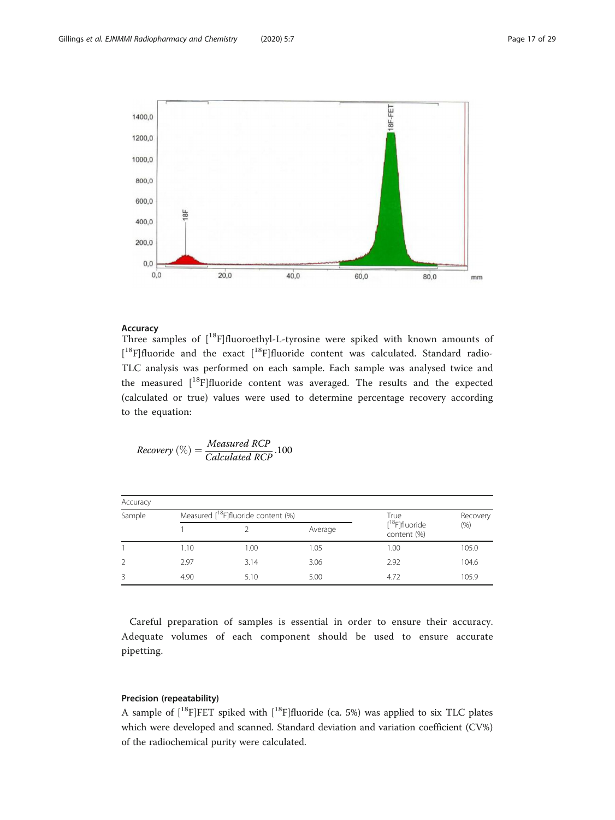

# Accuracy

Three samples of  $[18F]$ fluoroethyl-L-tyrosine were spiked with known amounts of  $[$ <sup>18</sup>F]fluoride and the exact  $[$ <sup>18</sup>F]fluoride content was calculated. Standard radio-TLC analysis was performed on each sample. Each sample was analysed twice and the measured  $[{}^{18}F]$ fluoride content was averaged. The results and the expected (calculated or true) values were used to determine percentage recovery according to the equation:

$$
Recovery\ (\%) = \frac{Measured\ RCP}{Calculated\ RCP}.100
$$

| Accuracy |      |                                                 |         |                                             |          |
|----------|------|-------------------------------------------------|---------|---------------------------------------------|----------|
| Sample   |      | Measured [ <sup>18</sup> F]fluoride content (%) |         | True                                        | Recovery |
|          |      |                                                 | Average | $[$ <sup>18</sup> F]fluoride<br>content (%) | (% )     |
|          | 1.10 | 1.00                                            | 1.05    | 1.00                                        | 105.0    |
|          | 2.97 | 3.14                                            | 3.06    | 2.92                                        | 104.6    |
|          | 4.90 | 5.10                                            | 5.00    | 4.72                                        | 105.9    |

Careful preparation of samples is essential in order to ensure their accuracy. Adequate volumes of each component should be used to ensure accurate pipetting.

# Precision (repeatability)

A sample of  $[{}^{18}F]FET$  spiked with  $[{}^{18}F]$ fluoride (ca. 5%) was applied to six TLC plates which were developed and scanned. Standard deviation and variation coefficient (CV%) of the radiochemical purity were calculated.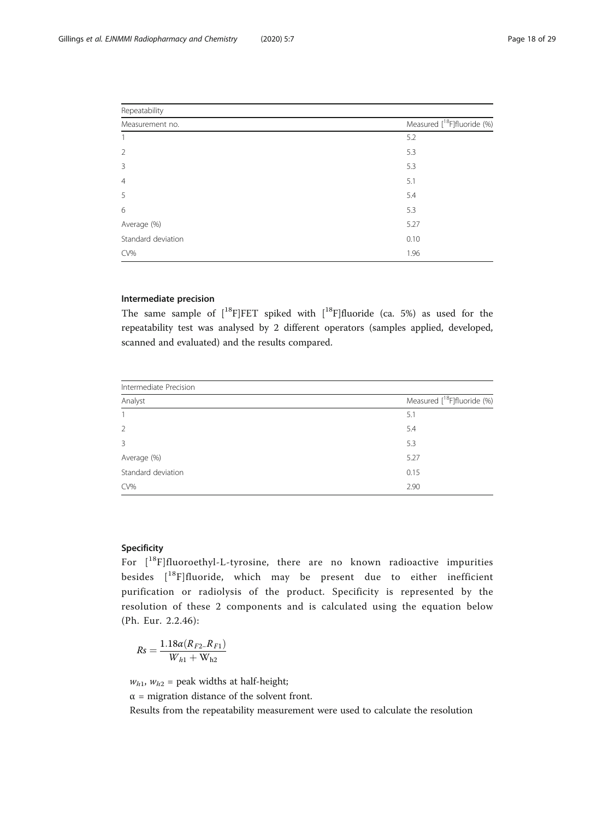| Repeatability      |                                         |
|--------------------|-----------------------------------------|
| Measurement no.    | Measured [ <sup>18</sup> F]fluoride (%) |
|                    | 5.2                                     |
| 2                  | 5.3                                     |
| 3                  | 5.3                                     |
| $\overline{4}$     | 5.1                                     |
| 5                  | 5.4                                     |
| 6                  | 5.3                                     |
| Average (%)        | 5.27                                    |
| Standard deviation | 0.10                                    |
| CV%                | 1.96                                    |

# Intermediate precision

The same sample of  $[{}^{18}F]FET$  spiked with  $[{}^{18}F]$ fluoride (ca. 5%) as used for the repeatability test was analysed by 2 different operators (samples applied, developed, scanned and evaluated) and the results compared.

| Intermediate Precision |                                         |  |  |  |
|------------------------|-----------------------------------------|--|--|--|
| Analyst                | Measured [ <sup>18</sup> F]fluoride (%) |  |  |  |
| $\overline{1}$         | 5.1                                     |  |  |  |
| 2                      | 5.4                                     |  |  |  |
| 3                      | 5.3                                     |  |  |  |
| Average (%)            | 5.27                                    |  |  |  |
| Standard deviation     | 0.15                                    |  |  |  |
| CV%                    | 2.90                                    |  |  |  |

# Specificity

For  $[^{18}F]$ fluoroethyl-L-tyrosine, there are no known radioactive impurities besides  $[$ <sup>18</sup>F]fluoride, which may be present due to either inefficient purification or radiolysis of the product. Specificity is represented by the resolution of these 2 components and is calculated using the equation below (Ph. Eur. 2.2.46):

$$
Rs = \frac{1.18\alpha(R_{F2} - R_{F1})}{W_{h1} + W_{h2}}
$$

 $w_{h1}$ ,  $w_{h2}$  = peak widths at half-height;

 $\alpha$  = migration distance of the solvent front.

Results from the repeatability measurement were used to calculate the resolution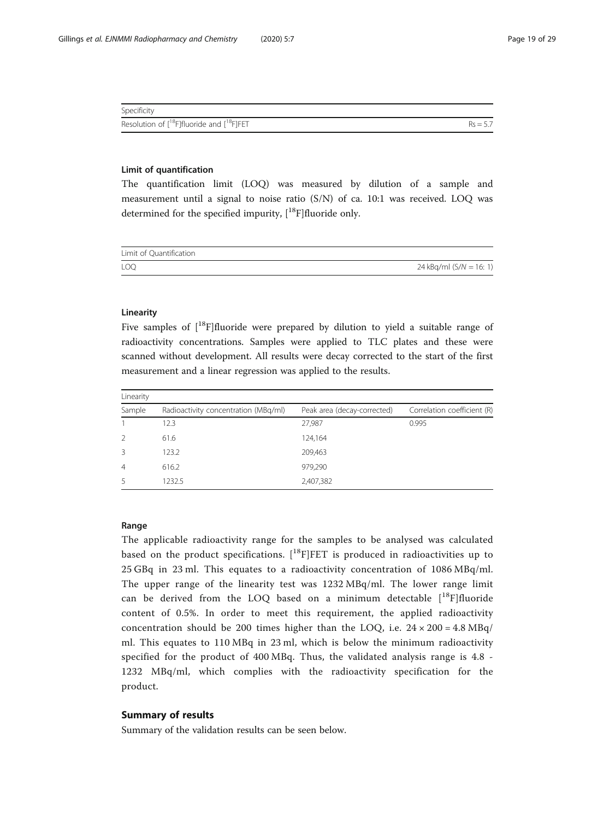| Specificity                                          |            |
|------------------------------------------------------|------------|
| Resolution of $[^{18}F]$ fluoride and $[^{18}F]$ FET | $Rs = 5.7$ |

# Limit of quantification

The quantification limit (LOQ) was measured by dilution of a sample and measurement until a signal to noise ratio (S/N) of ca. 10:1 was received. LOQ was determined for the specified impurity,  $[{}^{18}F]$ fluoride only.

| Limit of Quantification |                           |
|-------------------------|---------------------------|
| <b>LOO</b>              | 24 kBq/ml $(S/N = 16: 1)$ |

# Linearity

Five samples of  $[18F]$ fluoride were prepared by dilution to yield a suitable range of radioactivity concentrations. Samples were applied to TLC plates and these were scanned without development. All results were decay corrected to the start of the first measurement and a linear regression was applied to the results.

| Linearity      |                                      |                             |                             |
|----------------|--------------------------------------|-----------------------------|-----------------------------|
| Sample         | Radioactivity concentration (MBq/ml) | Peak area (decay-corrected) | Correlation coefficient (R) |
|                | 12.3                                 | 27,987                      | 0.995                       |
| $\mathcal{L}$  | 61.6                                 | 124,164                     |                             |
| 3              | 123.2                                | 209,463                     |                             |
| $\overline{4}$ | 616.2                                | 979,290                     |                             |
|                | 1232.5                               | 2,407,382                   |                             |

# Range

The applicable radioactivity range for the samples to be analysed was calculated based on the product specifications.  $[$ <sup>18</sup>F]FET is produced in radioactivities up to 25 GBq in 23 ml. This equates to a radioactivity concentration of 1086 MBq/ml. The upper range of the linearity test was 1232 MBq/ml. The lower range limit can be derived from the LOQ based on a minimum detectable  $[{}^{18}F]$ fluoride content of 0.5%. In order to meet this requirement, the applied radioactivity concentration should be 200 times higher than the LOQ, i.e.  $24 \times 200 = 4.8 \text{ MBq}$ / ml. This equates to 110 MBq in 23 ml, which is below the minimum radioactivity specified for the product of 400 MBq. Thus, the validated analysis range is 4.8 - 1232 MBq/ml, which complies with the radioactivity specification for the product.

# Summary of results

Summary of the validation results can be seen below.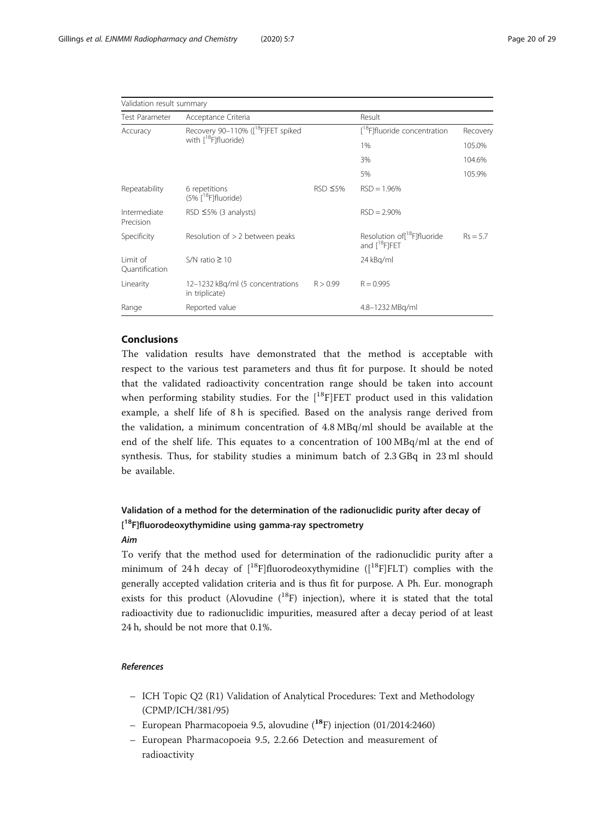|                             | Validation result summary                          |                |                                                                     |            |  |  |
|-----------------------------|----------------------------------------------------|----------------|---------------------------------------------------------------------|------------|--|--|
| Test Parameter              | Acceptance Criteria                                |                | Result                                                              |            |  |  |
| Accuracy                    | Recovery 90-110% ([ <sup>18</sup> F]FET spiked     |                | [ <sup>18</sup> F]fluoride concentration                            | Recovery   |  |  |
|                             | with [ <sup>18</sup> F]fluoride)                   |                | 1%                                                                  | 105.0%     |  |  |
|                             |                                                    |                | 3%                                                                  | 104.6%     |  |  |
|                             |                                                    |                | 5%                                                                  | 105.9%     |  |  |
| Repeatability               | 6 repetitions<br>$(5\%$ <sup>[18</sup> F]fluoride) | $RSD \leq 5\%$ | $RSD = 1.96%$                                                       |            |  |  |
| Intermediate<br>Precision   | RSD $\leq$ 5% (3 analysts)                         |                | $RSD = 2.90\%$                                                      |            |  |  |
| Specificity                 | Resolution of $> 2$ between peaks                  |                | Resolution of <sup>18</sup> Fifluoride<br>and [ <sup>18</sup> F]FET | $Rs = 5.7$ |  |  |
| I imit of<br>Quantification | S/N ratio $\geq 10$                                |                | 24 kBq/ml                                                           |            |  |  |
| Linearity                   | 12-1232 kBq/ml (5 concentrations<br>in triplicate) | R > 0.99       | $R = 0.995$                                                         |            |  |  |
| Range                       | Reported value                                     |                | 4.8-1232 MBg/ml                                                     |            |  |  |

# Conclusions

The validation results have demonstrated that the method is acceptable with respect to the various test parameters and thus fit for purpose. It should be noted that the validated radioactivity concentration range should be taken into account when performing stability studies. For the  $[$ <sup>18</sup>F FET product used in this validation example, a shelf life of 8 h is specified. Based on the analysis range derived from the validation, a minimum concentration of 4.8 MBq/ml should be available at the end of the shelf life. This equates to a concentration of 100 MBq/ml at the end of synthesis. Thus, for stability studies a minimum batch of 2.3 GBq in 23 ml should be available.

# Validation of a method for the determination of the radionuclidic purity after decay of [<sup>18</sup>F]fluorodeoxythymidine using gamma-ray spectrometry

# Aim

To verify that the method used for determination of the radionuclidic purity after a minimum of 24 h decay of  $[18F]$ fluorodeoxythymidine  $([18F]FLT)$  complies with the generally accepted validation criteria and is thus fit for purpose. A Ph. Eur. monograph exists for this product (Alovudine  $(^{18}F)$  injection), where it is stated that the total radioactivity due to radionuclidic impurities, measured after a decay period of at least 24 h, should be not more that 0.1%.

# References

- ICH Topic Q2 (R1) Validation of Analytical Procedures: Text and Methodology (CPMP/ICH/381/95)
- European Pharmacopoeia 9.5, alovudine (18F) injection (01/2014:2460)
- European Pharmacopoeia 9.5, 2.2.66 Detection and measurement of radioactivity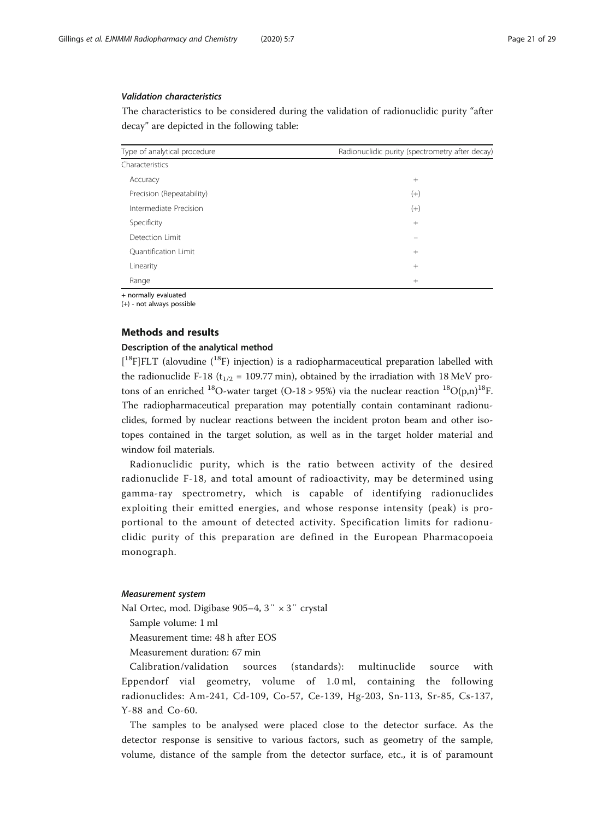# Validation characteristics

The characteristics to be considered during the validation of radionuclidic purity "after decay" are depicted in the following table:

| Type of analytical procedure | Radionuclidic purity (spectrometry after decay) |
|------------------------------|-------------------------------------------------|
| Characteristics              |                                                 |
| Accuracy                     | $^{+}$                                          |
| Precision (Repeatability)    | $^{(+)}$                                        |
| Intermediate Precision       | $^{(+)}$                                        |
| Specificity                  | $+$                                             |
| Detection Limit              |                                                 |
| Quantification Limit         | $+$                                             |
| Linearity                    | $^{+}$                                          |
| Range                        | $+$                                             |

+ normally evaluated

(+) - not always possible

# Methods and results

# Description of the analytical method

 $[$ <sup>18</sup>F]FLT (alovudine  $($ <sup>18</sup>F) injection) is a radiopharmaceutical preparation labelled with the radionuclide F-18 ( $t_{1/2}$  = 109.77 min), obtained by the irradiation with 18 MeV protons of an enriched <sup>18</sup>O-water target (O-18 > 95%) via the nuclear reaction <sup>18</sup>O(p,n)<sup>18</sup>F. The radiopharmaceutical preparation may potentially contain contaminant radionuclides, formed by nuclear reactions between the incident proton beam and other isotopes contained in the target solution, as well as in the target holder material and window foil materials.

Radionuclidic purity, which is the ratio between activity of the desired radionuclide F-18, and total amount of radioactivity, may be determined using gamma-ray spectrometry, which is capable of identifying radionuclides exploiting their emitted energies, and whose response intensity (peak) is proportional to the amount of detected activity. Specification limits for radionuclidic purity of this preparation are defined in the European Pharmacopoeia monograph.

#### Measurement system

NaI Ortec, mod. Digibase 905–4, 3" × 3" crystal

Sample volume: 1 ml

Measurement time: 48 h after EOS

Measurement duration: 67 min

Calibration/validation sources (standards): multinuclide source with Eppendorf vial geometry, volume of 1.0 ml, containing the following radionuclides: Am-241, Cd-109, Co-57, Ce-139, Hg-203, Sn-113, Sr-85, Cs-137, Y-88 and Co-60.

The samples to be analysed were placed close to the detector surface. As the detector response is sensitive to various factors, such as geometry of the sample, volume, distance of the sample from the detector surface, etc., it is of paramount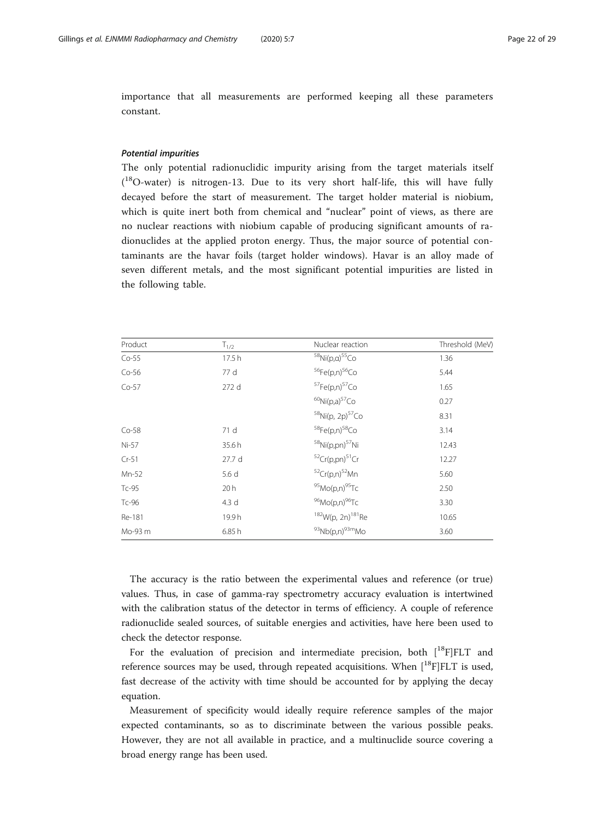importance that all measurements are performed keeping all these parameters constant.

# Potential impurities

The only potential radionuclidic impurity arising from the target materials itself (<sup>18</sup>O-water) is nitrogen-13. Due to its very short half-life, this will have fully decayed before the start of measurement. The target holder material is niobium, which is quite inert both from chemical and "nuclear" point of views, as there are no nuclear reactions with niobium capable of producing significant amounts of radionuclides at the applied proton energy. Thus, the major source of potential contaminants are the havar foils (target holder windows). Havar is an alloy made of seven different metals, and the most significant potential impurities are listed in the following table.

| Product | $T_{1/2}$ | Nuclear reaction                          | Threshold (MeV) |
|---------|-----------|-------------------------------------------|-----------------|
| $Co-55$ | 17.5 h    | $58$ Ni(p,a) $55$ Co                      | 1.36            |
| $Co-56$ | 77 d      | 56Fe(p,n) <sup>56</sup> Co                | 5.44            |
| $Co-57$ | 272 d     | $57Fe(p,n)$ $57Co$                        | 1.65            |
|         |           | ${}^{60}$ Ni(p,a) <sup>57</sup> Co        | 0.27            |
|         |           | <sup>58</sup> Ni(p, 2p) <sup>57</sup> Co  | 8.31            |
| $Co-58$ | 71 d      | $58$ Fe(p,n) $58$ Co                      | 3.14            |
| Ni-57   | 35.6 h    | 58Ni(p,pn) <sup>57</sup> Ni               | 12.43           |
| $Cr-51$ | 27.7 d    | 52Cr(p,pn) <sup>51</sup> Cr               | 12.27           |
| Mn-52   | 5.6 d     | ${}^{52}Cr(p,n){}^{52}Mn$                 | 5.60            |
| $Tc-95$ | 20 h      | 95Mo(p,n) <sup>95</sup> Tc                | 2.50            |
| Tc-96   | 4.3 d     | $96$ Mo(p,n) $96$ Tc                      | 3.30            |
| Re-181  | 19.9h     | <sup>182</sup> W(p, 2n) <sup>181</sup> Re | 10.65           |
| Mo-93 m | 6.85h     | $93$ Nb(p,n) $93$ <sup>m</sup> Mo         | 3.60            |

The accuracy is the ratio between the experimental values and reference (or true) values. Thus, in case of gamma-ray spectrometry accuracy evaluation is intertwined with the calibration status of the detector in terms of efficiency. A couple of reference radionuclide sealed sources, of suitable energies and activities, have here been used to check the detector response.

For the evaluation of precision and intermediate precision, both  $[^{18}F]FLT$  and reference sources may be used, through repeated acquisitions. When  $[^{18}F]FLT$  is used, fast decrease of the activity with time should be accounted for by applying the decay equation.

Measurement of specificity would ideally require reference samples of the major expected contaminants, so as to discriminate between the various possible peaks. However, they are not all available in practice, and a multinuclide source covering a broad energy range has been used.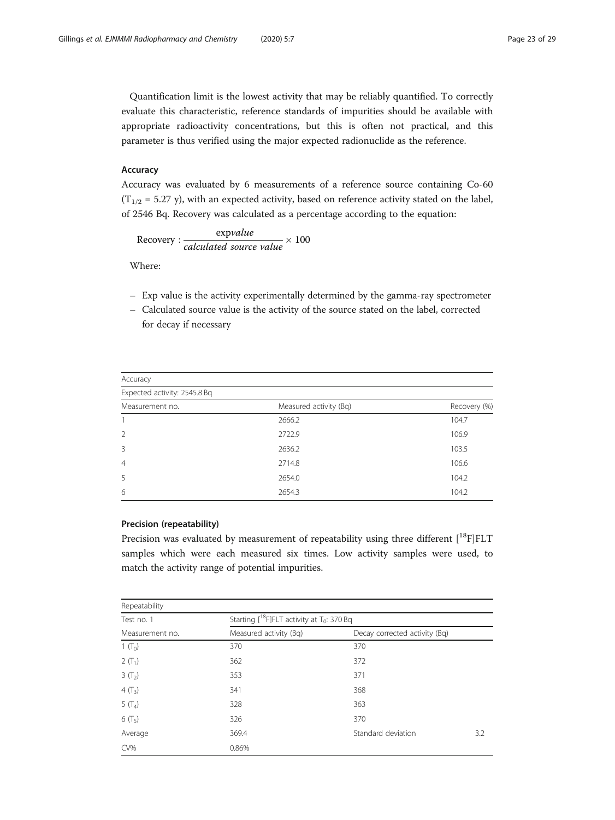Quantification limit is the lowest activity that may be reliably quantified. To correctly evaluate this characteristic, reference standards of impurities should be available with appropriate radioactivity concentrations, but this is often not practical, and this parameter is thus verified using the major expected radionuclide as the reference.

# Accuracy

Accuracy was evaluated by 6 measurements of a reference source containing Co-60  $(T_{1/2} = 5.27 \text{ y})$ , with an expected activity, based on reference activity stated on the label, of 2546 Bq. Recovery was calculated as a percentage according to the equation:

$$
Recovery: \frac{expvalue}{calculated\ source\ value} \times 100
$$

Where:

- Exp value is the activity experimentally determined by the gamma-ray spectrometer
- Calculated source value is the activity of the source stated on the label, corrected for decay if necessary

| Accuracy                     |                        |              |
|------------------------------|------------------------|--------------|
| Expected activity: 2545.8 Bq |                        |              |
| Measurement no.              | Measured activity (Bq) | Recovery (%) |
|                              | 2666.2                 | 104.7        |
| 2                            | 2722.9                 | 106.9        |
| 3                            | 2636.2                 | 103.5        |
| $\overline{4}$               | 2714.8                 | 106.6        |
| 5                            | 2654.0                 | 104.2        |
| 6                            | 2654.3                 | 104.2        |

# Precision (repeatability)

Precision was evaluated by measurement of repeatability using three different  $[^{18}F]FLT$ samples which were each measured six times. Low activity samples were used, to match the activity range of potential impurities.

| Repeatability   |                        |                                                   |     |  |  |
|-----------------|------------------------|---------------------------------------------------|-----|--|--|
| Test no. 1      |                        | Starting $[^{18}F]FLT$ activity at $T_0$ : 370 Bq |     |  |  |
| Measurement no. | Measured activity (Bq) | Decay corrected activity (Bq)                     |     |  |  |
| 1 $(T_0)$       | 370                    | 370                                               |     |  |  |
| 2 $(T_1)$       | 362                    | 372                                               |     |  |  |
| 3 $(T_2)$       | 353                    | 371                                               |     |  |  |
| 4 $(T_3)$       | 341                    | 368                                               |     |  |  |
| 5 $(T_4)$       | 328                    | 363                                               |     |  |  |
| 6 $(T_5)$       | 326                    | 370                                               |     |  |  |
| Average         | 369.4                  | Standard deviation                                | 3.2 |  |  |
| CV%             | 0.86%                  |                                                   |     |  |  |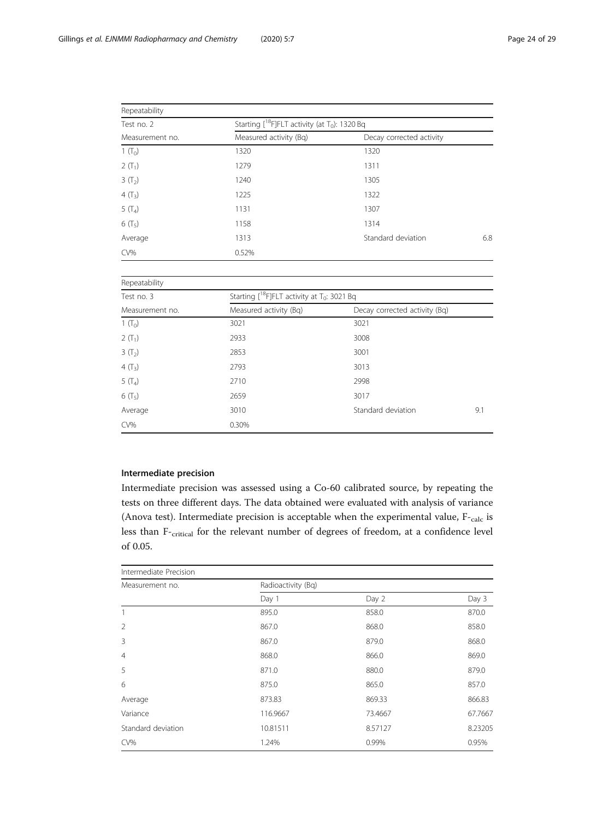| Repeatability   |                        |                                                                         |     |  |  |
|-----------------|------------------------|-------------------------------------------------------------------------|-----|--|--|
| Test no. 2      |                        | Starting $[$ <sup>18</sup> F]FLT activity (at T <sub>0</sub> ): 1320 Bq |     |  |  |
| Measurement no. | Measured activity (Bq) | Decay corrected activity                                                |     |  |  |
| 1 $(T0)$        | 1320                   | 1320                                                                    |     |  |  |
| 2 $(T_1)$       | 1279                   | 1311                                                                    |     |  |  |
| 3 $(T_2)$       | 1240                   | 1305                                                                    |     |  |  |
| 4 $(T_3)$       | 1225                   | 1322                                                                    |     |  |  |
| 5 $(T_4)$       | 1131                   | 1307                                                                    |     |  |  |
| 6 $(T_5)$       | 1158                   | 1314                                                                    |     |  |  |
| Average         | 1313                   | Standard deviation                                                      | 6.8 |  |  |
| CV%             | 0.52%                  |                                                                         |     |  |  |

| Repeatability   |                                                                       |                               |     |  |
|-----------------|-----------------------------------------------------------------------|-------------------------------|-----|--|
| Test no. 3      | Starting $[$ <sup>18</sup> F]FLT activity at T <sub>0</sub> : 3021 Bq |                               |     |  |
| Measurement no. | Measured activity (Bg)                                                | Decay corrected activity (Bq) |     |  |
| 1 $(T_0)$       | 3021                                                                  | 3021                          |     |  |
| 2 $(T_1)$       | 2933                                                                  | 3008                          |     |  |
| 3 $(T_2)$       | 2853                                                                  | 3001                          |     |  |
| 4 $(T_3)$       | 2793                                                                  | 3013                          |     |  |
| 5 $(T_4)$       | 2710                                                                  | 2998                          |     |  |
| 6 $(T_5)$       | 2659                                                                  | 3017                          |     |  |
| Average         | 3010                                                                  | Standard deviation            | 9.1 |  |
| CV%             | 0.30%                                                                 |                               |     |  |

# Intermediate precision

Intermediate precision was assessed using a Co-60 calibrated source, by repeating the tests on three different days. The data obtained were evaluated with analysis of variance (Anova test). Intermediate precision is acceptable when the experimental value,  $F_{\text{calc}}$  is less than F-critical for the relevant number of degrees of freedom, at a confidence level of 0.05.

| Intermediate Precision |                    |         |         |  |  |
|------------------------|--------------------|---------|---------|--|--|
| Measurement no.        | Radioactivity (Bq) |         |         |  |  |
|                        | Day 1              | Day 2   | Day 3   |  |  |
|                        | 895.0              | 858.0   | 870.0   |  |  |
| $\overline{2}$         | 867.0              | 868.0   | 858.0   |  |  |
| 3                      | 867.0              | 879.0   | 868.0   |  |  |
| $\overline{4}$         | 868.0              | 866.0   | 869.0   |  |  |
| 5                      | 871.0              | 880.0   | 879.0   |  |  |
| 6                      | 875.0              | 865.0   | 857.0   |  |  |
| Average                | 873.83             | 869.33  | 866.83  |  |  |
| Variance               | 116.9667           | 73.4667 | 67.7667 |  |  |
| Standard deviation     | 10.81511           | 8.57127 | 8.23205 |  |  |
| CV%                    | 1.24%              | 0.99%   | 0.95%   |  |  |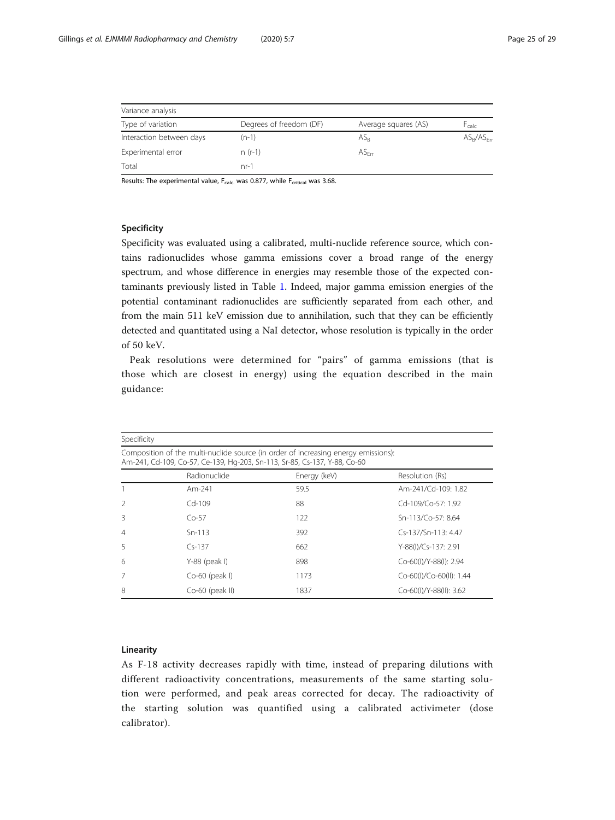| Variance analysis        |                         |                      |                 |
|--------------------------|-------------------------|----------------------|-----------------|
| Type of variation        | Degrees of freedom (DF) | Average squares (AS) | $r_{calc}$      |
| Interaction between days | $(n-1)$                 | $AS_R$               | $AS_R/AS_{Err}$ |
| Experimental error       | n (r-1)                 | $AS_{\text{Err}}$    |                 |
| Total                    | $nr-1$                  |                      |                 |

Results: The experimental value,  $F_{calc.}$  was 0.877, while  $F_{critical}$  was 3.68.

# Specificity

Specificity was evaluated using a calibrated, multi-nuclide reference source, which contains radionuclides whose gamma emissions cover a broad range of the energy spectrum, and whose difference in energies may resemble those of the expected contaminants previously listed in Table [1.](#page-2-0) Indeed, major gamma emission energies of the potential contaminant radionuclides are sufficiently separated from each other, and from the main 511 keV emission due to annihilation, such that they can be efficiently detected and quantitated using a NaI detector, whose resolution is typically in the order of 50 keV.

Peak resolutions were determined for "pairs" of gamma emissions (that is those which are closest in energy) using the equation described in the main guidance:

| Specificity |                                                                                                                                                                 |              |                          |  |  |
|-------------|-----------------------------------------------------------------------------------------------------------------------------------------------------------------|--------------|--------------------------|--|--|
|             | Composition of the multi-nuclide source (in order of increasing energy emissions):<br>Am-241, Cd-109, Co-57, Ce-139, Hg-203, Sn-113, Sr-85, Cs-137, Y-88, Co-60 |              |                          |  |  |
|             | Radionuclide                                                                                                                                                    | Energy (keV) | Resolution (Rs)          |  |  |
|             | Am-241                                                                                                                                                          | 59.5         | Am-241/Cd-109: 1.82      |  |  |
|             | $Cd-109$                                                                                                                                                        | 88           | Cd-109/Co-57: 1.92       |  |  |
| 3           | $Co-57$                                                                                                                                                         | 122          | Sn-113/Co-57: 8.64       |  |  |
| 4           | $Sn-113$                                                                                                                                                        | 392          | Cs-137/Sn-113: 4.47      |  |  |
| 5           | $Cs - 137$                                                                                                                                                      | 662          | Y-88(I)/Cs-137: 2.91     |  |  |
| 6           | $Y-88$ (peak I)                                                                                                                                                 | 898          | Co-60(I)/Y-88(I): 2.94   |  |  |
|             | $Co-60$ (peak I)                                                                                                                                                | 1173         | Co-60(I)/Co-60(II): 1.44 |  |  |
| 8           | $Co-60$ (peak II)                                                                                                                                               | 1837         | Co-60(I)/Y-88(II): 3.62  |  |  |

# Linearity

As F-18 activity decreases rapidly with time, instead of preparing dilutions with different radioactivity concentrations, measurements of the same starting solution were performed, and peak areas corrected for decay. The radioactivity of the starting solution was quantified using a calibrated activimeter (dose calibrator).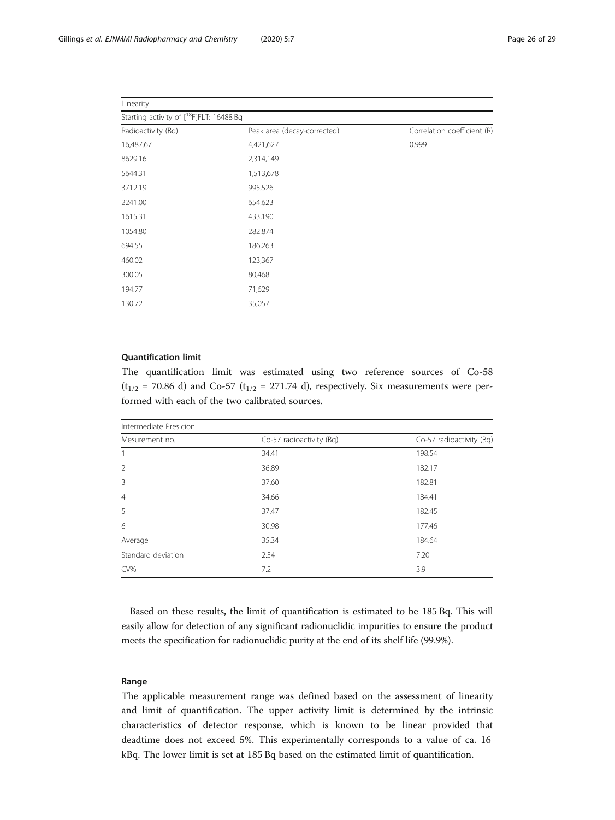| Linearity          |                                                      |                             |  |  |  |
|--------------------|------------------------------------------------------|-----------------------------|--|--|--|
|                    | Starting activity of [ <sup>18</sup> F]FLT: 16488 Bq |                             |  |  |  |
| Radioactivity (Bq) | Peak area (decay-corrected)                          | Correlation coefficient (R) |  |  |  |
| 16,487.67          | 4,421,627                                            | 0.999                       |  |  |  |
| 8629.16            | 2,314,149                                            |                             |  |  |  |
| 5644.31            | 1,513,678                                            |                             |  |  |  |
| 3712.19            | 995,526                                              |                             |  |  |  |
| 2241.00            | 654,623                                              |                             |  |  |  |
| 1615.31            | 433,190                                              |                             |  |  |  |
| 1054.80            | 282,874                                              |                             |  |  |  |
| 694.55             | 186,263                                              |                             |  |  |  |
| 460.02             | 123,367                                              |                             |  |  |  |
| 300.05             | 80,468                                               |                             |  |  |  |
| 194.77             | 71,629                                               |                             |  |  |  |
| 130.72             | 35,057                                               |                             |  |  |  |

# Quantification limit

The quantification limit was estimated using two reference sources of Co-58  $(t_{1/2} = 70.86$  d) and Co-57  $(t_{1/2} = 271.74$  d), respectively. Six measurements were performed with each of the two calibrated sources.

| Intermediate Presicion |                          |                          |  |  |
|------------------------|--------------------------|--------------------------|--|--|
| Mesurement no.         | Co-57 radioactivity (Bq) | Co-57 radioactivity (Bq) |  |  |
| 1                      | 34.41                    | 198.54                   |  |  |
| 2                      | 36.89                    | 182.17                   |  |  |
| 3                      | 37.60                    | 182.81                   |  |  |
| $\overline{4}$         | 34.66                    | 184.41                   |  |  |
| 5                      | 37.47                    | 182.45                   |  |  |
| 6                      | 30.98                    | 177.46                   |  |  |
| Average                | 35.34                    | 184.64                   |  |  |
| Standard deviation     | 2.54                     | 7.20                     |  |  |
| $CV\%$                 | 7.2                      | 3.9                      |  |  |

Based on these results, the limit of quantification is estimated to be 185 Bq. This will easily allow for detection of any significant radionuclidic impurities to ensure the product meets the specification for radionuclidic purity at the end of its shelf life (99.9%).

# Range

The applicable measurement range was defined based on the assessment of linearity and limit of quantification. The upper activity limit is determined by the intrinsic characteristics of detector response, which is known to be linear provided that deadtime does not exceed 5%. This experimentally corresponds to a value of ca. 16 kBq. The lower limit is set at 185 Bq based on the estimated limit of quantification.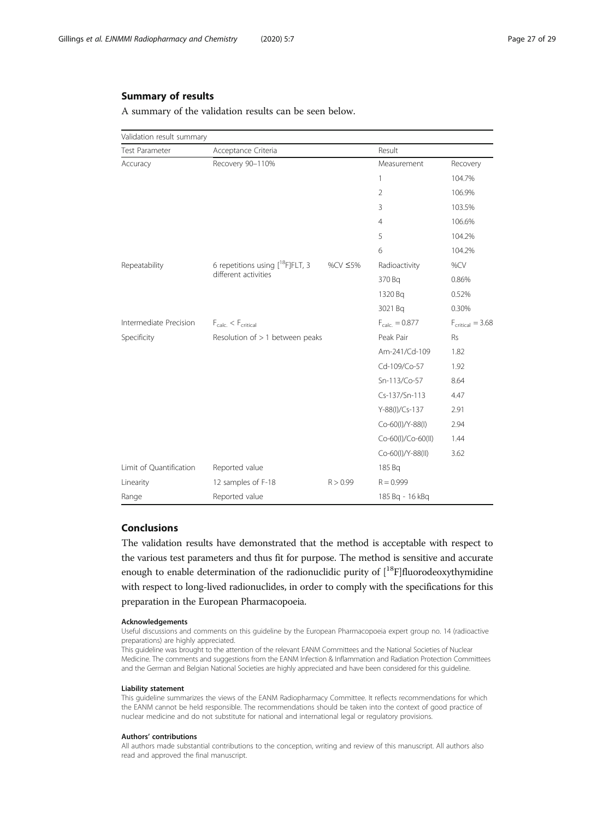# Summary of results

A summary of the validation results can be seen below.

| Validation result summary |                                              |          |                    |                       |
|---------------------------|----------------------------------------------|----------|--------------------|-----------------------|
| Test Parameter            | Acceptance Criteria                          |          | Result             |                       |
| Accuracy                  | Recovery 90-110%                             |          | Measurement        | Recovery              |
|                           |                                              |          | $\mathbf{1}$       | 104.7%                |
|                           |                                              |          | $\overline{2}$     | 106.9%                |
|                           |                                              |          | 3                  | 103.5%                |
|                           |                                              |          | $\overline{4}$     | 106.6%                |
|                           |                                              |          | 5                  | 104.2%                |
|                           |                                              |          | 6                  | 104.2%                |
| Repeatability             | 6 repetitions using [ <sup>18</sup> F]FLT, 3 | %CV ≤5%  | Radioactivity      | %CV                   |
|                           | different activities                         |          | 370 Bg             | 0.86%                 |
|                           |                                              |          | 1320 Bq            | 0.52%                 |
|                           |                                              |          | 3021 Bq            | 0.30%                 |
| Intermediate Precision    | $F_{calc}$ < $F_{critical}$                  |          | $F_{calc} = 0.877$ | $F_{critical} = 3.68$ |
| Specificity               | Resolution of $>$ 1 between peaks            |          | Peak Pair          | <b>Rs</b>             |
|                           |                                              |          | Am-241/Cd-109      | 1.82                  |
|                           |                                              |          | Cd-109/Co-57       | 1.92                  |
|                           |                                              |          | Sn-113/Co-57       | 8.64                  |
|                           |                                              |          | Cs-137/Sn-113      | 4.47                  |
|                           |                                              |          | Y-88(I)/Cs-137     | 2.91                  |
|                           |                                              |          | Co-60(I)/Y-88(I)   | 2.94                  |
|                           |                                              |          | Co-60(I)/Co-60(II) | 1.44                  |
|                           |                                              |          | Co-60(I)/Y-88(II)  | 3.62                  |
| Limit of Quantification   | Reported value                               |          | 185 Bq             |                       |
| Linearity                 | 12 samples of F-18                           | R > 0.99 | $R = 0.999$        |                       |
| Range                     | Reported value                               |          | 185 Bq - 16 kBq    |                       |

# Conclusions

The validation results have demonstrated that the method is acceptable with respect to the various test parameters and thus fit for purpose. The method is sensitive and accurate enough to enable determination of the radionuclidic purity of  $[18F]$ fluorodeoxythymidine with respect to long-lived radionuclides, in order to comply with the specifications for this preparation in the European Pharmacopoeia.

#### Acknowledgements

This guideline was brought to the attention of the relevant EANM Committees and the National Societies of Nuclear Medicine. The comments and suggestions from the EANM Infection & Inflammation and Radiation Protection Committees and the German and Belgian National Societies are highly appreciated and have been considered for this guideline.

#### Liability statement

This guideline summarizes the views of the EANM Radiopharmacy Committee. It reflects recommendations for which the EANM cannot be held responsible. The recommendations should be taken into the context of good practice of nuclear medicine and do not substitute for national and international legal or regulatory provisions.

#### Authors' contributions

All authors made substantial contributions to the conception, writing and review of this manuscript. All authors also read and approved the final manuscript.

Useful discussions and comments on this guideline by the European Pharmacopoeia expert group no. 14 (radioactive preparations) are highly appreciated.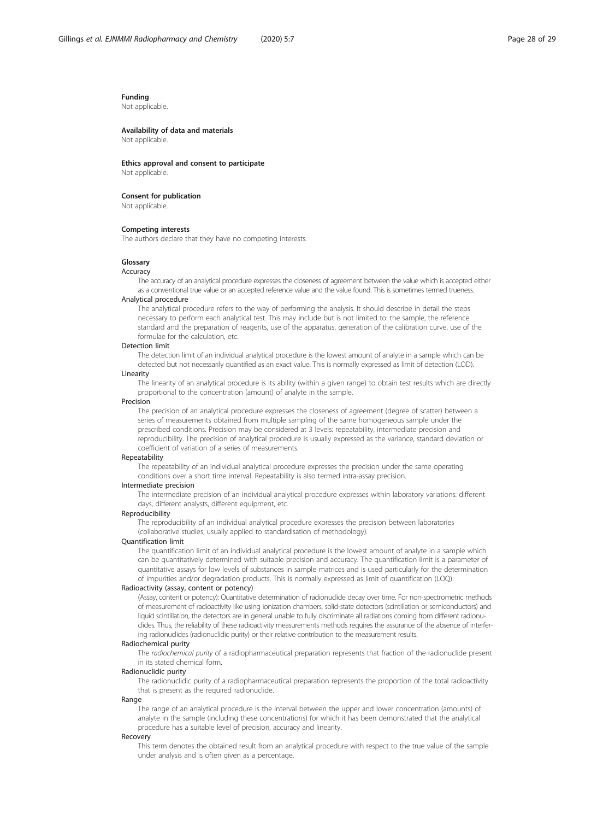#### Funding

Not applicable.

#### Availability of data and materials

Not applicable.

# Ethics approval and consent to participate

Not applicable.

#### Consent for publication

Not applicable.

#### Competing interests

The authors declare that they have no competing interests.

# Glossary

#### **Accuracy**

The accuracy of an analytical procedure expresses the closeness of agreement between the value which is accepted either as a conventional true value or an accepted reference value and the value found. This is sometimes termed trueness.

# Analytical procedure

The analytical procedure refers to the way of performing the analysis. It should describe in detail the steps necessary to perform each analytical test. This may include but is not limited to: the sample, the reference standard and the preparation of reagents, use of the apparatus, generation of the calibration curve, use of the formulae for the calculation, etc.

#### Detection limit

The detection limit of an individual analytical procedure is the lowest amount of analyte in a sample which can be detected but not necessarily quantified as an exact value. This is normally expressed as limit of detection (LOD). Linearity

The linearity of an analytical procedure is its ability (within a given range) to obtain test results which are directly proportional to the concentration (amount) of analyte in the sample.

# Precision

The precision of an analytical procedure expresses the closeness of agreement (degree of scatter) between a series of measurements obtained from multiple sampling of the same homogeneous sample under the prescribed conditions. Precision may be considered at 3 levels: repeatability, intermediate precision and reproducibility. The precision of analytical procedure is usually expressed as the variance, standard deviation or coefficient of variation of a series of measurements.

#### Repeatability

The repeatability of an individual analytical procedure expresses the precision under the same operating conditions over a short time interval. Repeatability is also termed intra-assay precision.

#### Intermediate precision

The intermediate precision of an individual analytical procedure expresses within laboratory variations: different days, different analysts, different equipment, etc.

#### Reproducibility

The reproducibility of an individual analytical procedure expresses the precision between laboratories (collaborative studies, usually applied to standardisation of methodology).

# Quantification limit

The quantification limit of an individual analytical procedure is the lowest amount of analyte in a sample which can be quantitatively determined with suitable precision and accuracy. The quantification limit is a parameter of quantitative assays for low levels of substances in sample matrices and is used particularly for the determination of impurities and/or degradation products. This is normally expressed as limit of quantification (LOQ).

#### Radioactivity (assay, content or potency)

(Assay, content or potency): Quantitative determination of radionuclide decay over time. For non-spectrometric methods of measurement of radioactivity like using ionization chambers, solid-state detectors (scintillation or semiconductors) and liquid scintillation, the detectors are in general unable to fully discriminate all radiations coming from different radionuclides. Thus, the reliability of these radioactivity measurements methods requires the assurance of the absence of interfering radionuclides (radionuclidic purity) or their relative contribution to the measurement results.

#### Radiochemical purity

The radiochemical purity of a radiopharmaceutical preparation represents that fraction of the radionuclide present in its stated chemical form.

#### Radionuclidic purity

The radionuclidic purity of a radiopharmaceutical preparation represents the proportion of the total radioactivity that is present as the required radionuclide.

#### Range

The range of an analytical procedure is the interval between the upper and lower concentration (amounts) of analyte in the sample (including these concentrations) for which it has been demonstrated that the analytical procedure has a suitable level of precision, accuracy and linearity.

#### Recovery

This term denotes the obtained result from an analytical procedure with respect to the true value of the sample under analysis and is often given as a percentage.